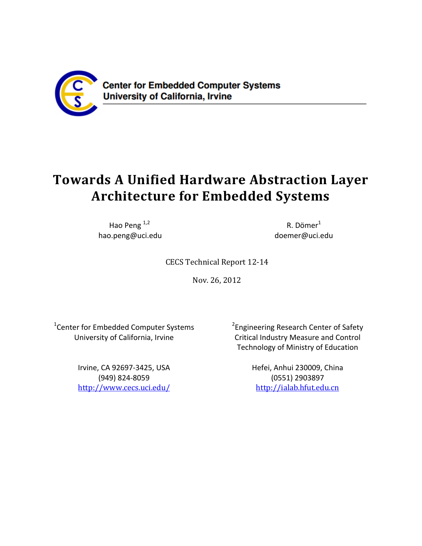

**Center for Embedded Computer Systems University of California, Irvine** 

# **Towards A Unified Hardware Abstraction Layer Architecture for Embedded Systems**

Hao Peng<sup>1,2</sup> hao.peng@uci.edu

R. Dömer<sup>1</sup> doemer@uci.edu

CECS Technical Report 12‐14 

Nov. 26, 2012 

<sup>1</sup>Center for Embedded Computer Systems University of California, Irvine

> Irvine, CA 92697‐3425, USA (949) 824‐8059 http://www.cecs.uci.edu/

<sup>2</sup>Engineering Research Center of Safety Critical Industry Measure and Control Technology of Ministry of Education

> Hefei, Anhui 230009, China (0551) 2903897 http://ialab.hfut.edu.cn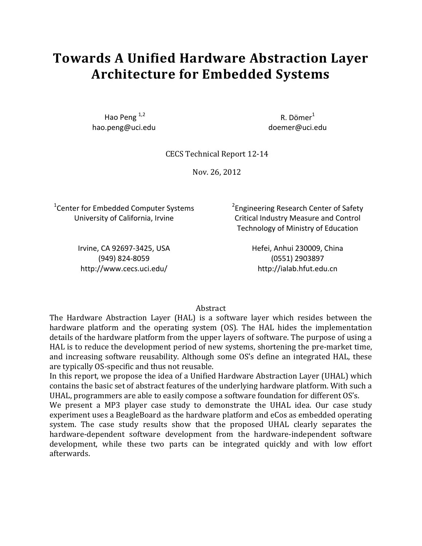# **Towards A Unified Hardware Abstraction Layer Architecture for Embedded Systems**

Hao Peng  $1,2$ hao.peng@uci.edu

 $R.$  Dömer $<sup>1</sup>$ </sup> doemer@uci.edu

CECS Technical Report 12‐14 

Nov. 26, 2012 

<sup>1</sup>Center for Embedded Computer Systems University of California, Irvine

<sup>2</sup>Engineering Research Center of Safety Critical Industry Measure and Control Technology of Ministry of Education

Irvine, CA 92697‐3425, USA (949) 824‐8059 http://www.cecs.uci.edu/

Hefei, Anhui 230009, China (0551) 2903897 http://ialab.hfut.edu.cn

#### Abstract

The Hardware Abstraction Layer (HAL) is a software layer which resides between the hardware platform and the operating system (OS). The HAL hides the implementation details of the hardware platform from the upper layers of software. The purpose of using a HAL is to reduce the development period of new systems, shortening the pre-market time, and increasing software reusability. Although some OS's define an integrated HAL, these are typically OS-specific and thus not reusable.

In this report, we propose the idea of a Unified Hardware Abstraction Layer (UHAL) which contains the basic set of abstract features of the underlying hardware platform. With such a UHAL, programmers are able to easily compose a software foundation for different OS's.

We present a MP3 player case study to demonstrate the UHAL idea. Our case study experiment uses a BeagleBoard as the hardware platform and eCos as embedded operating system. The case study results show that the proposed UHAL clearly separates the hardware-dependent software development from the hardware-independent software development, while these two parts can be integrated quickly and with low effort afterwards.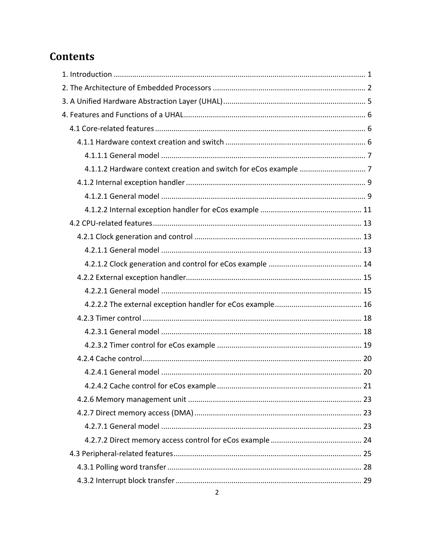# **Contents**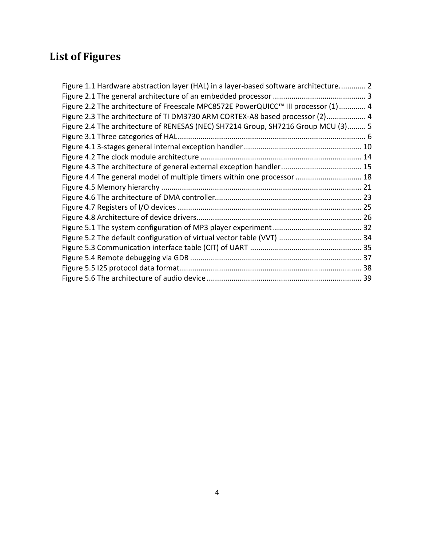# **List of Figures**

| Figure 1.1 Hardware abstraction layer (HAL) in a layer-based software architecture 2 |  |
|--------------------------------------------------------------------------------------|--|
|                                                                                      |  |
| Figure 2.2 The architecture of Freescale MPC8572E PowerQUICC™ III processor (1)  4   |  |
| Figure 2.3 The architecture of TI DM3730 ARM CORTEX-A8 based processor (2) 4         |  |
| Figure 2.4 The architecture of RENESAS (NEC) SH7214 Group, SH7216 Group MCU (3) 5    |  |
|                                                                                      |  |
|                                                                                      |  |
|                                                                                      |  |
|                                                                                      |  |
| Figure 4.4 The general model of multiple timers within one processor  18             |  |
|                                                                                      |  |
|                                                                                      |  |
|                                                                                      |  |
|                                                                                      |  |
|                                                                                      |  |
|                                                                                      |  |
|                                                                                      |  |
|                                                                                      |  |
|                                                                                      |  |
|                                                                                      |  |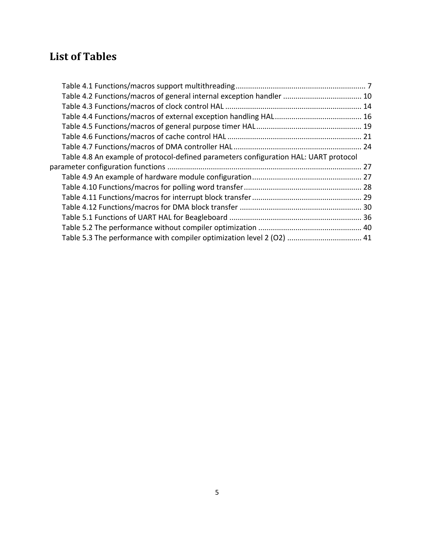# **List of Tables**

| Table 4.2 Functions/macros of general internal exception handler  10                 |  |
|--------------------------------------------------------------------------------------|--|
|                                                                                      |  |
|                                                                                      |  |
|                                                                                      |  |
|                                                                                      |  |
|                                                                                      |  |
| Table 4.8 An example of protocol-defined parameters configuration HAL: UART protocol |  |
|                                                                                      |  |
|                                                                                      |  |
|                                                                                      |  |
|                                                                                      |  |
|                                                                                      |  |
|                                                                                      |  |
|                                                                                      |  |
| Table 5.3 The performance with compiler optimization level 2 (O2)  41                |  |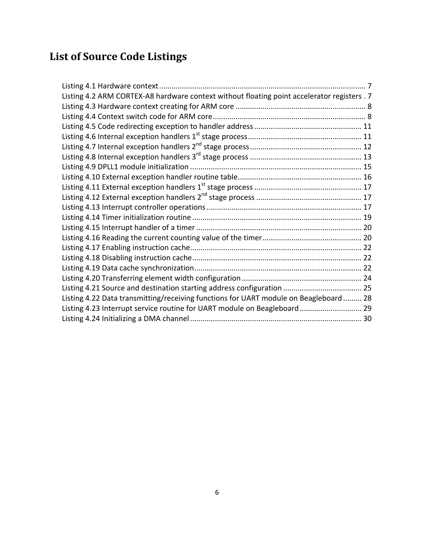# **List of Source Code Listings**

| Listing 4.2 ARM CORTEX-A8 hardware context without floating point accelerator registers . 7 |  |
|---------------------------------------------------------------------------------------------|--|
|                                                                                             |  |
|                                                                                             |  |
|                                                                                             |  |
|                                                                                             |  |
|                                                                                             |  |
|                                                                                             |  |
|                                                                                             |  |
|                                                                                             |  |
|                                                                                             |  |
|                                                                                             |  |
|                                                                                             |  |
|                                                                                             |  |
|                                                                                             |  |
|                                                                                             |  |
|                                                                                             |  |
|                                                                                             |  |
|                                                                                             |  |
|                                                                                             |  |
|                                                                                             |  |
| Listing 4.22 Data transmitting/receiving functions for UART module on Beagleboard 28        |  |
|                                                                                             |  |
|                                                                                             |  |
| Listing 4.23 Interrupt service routine for UART module on Beagleboard 29                    |  |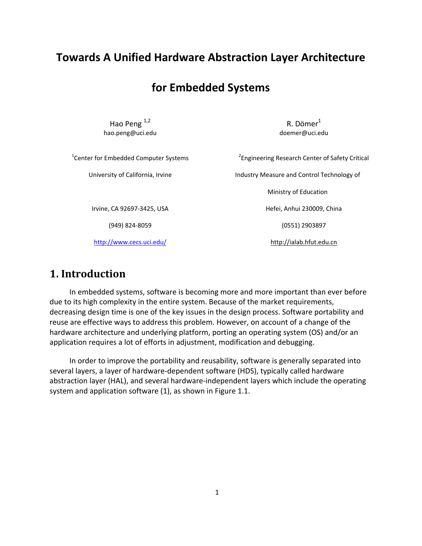# **Towards A Unified Hardware Abstraction Layer Architecture**

# **for Embedded Systems**

Hao Peng  $^{1,2}$ hao.peng@uci.edu

 $R.$  Dömer $<sup>1</sup>$ </sup> doemer@uci.edu

<sup>1</sup> Center for Embedded Computer Systems

University of California, Irvine

Irvine, CA 92697‐3425, USA

(949) 824‐8059

http://www.cecs.uci.edu/

<sup>2</sup> Engineering Research Center of Safety Critical Industry Measure and Control Technology of Ministry of Education Hefei, Anhui 230009, China (0551) 2903897

http://ialab.hfut.edu.cn

# **1. Introduction**

 In embedded systems, software is becoming more and more important than ever before due to its high complexity in the entire system. Because of the market requirements, decreasing design time is one of the key issues in the design process. Software portability and reuse are effective ways to address this problem. However, on account of a change of the hardware architecture and underlying platform, porting an operating system (OS) and/or an application requires a lot of efforts in adjustment, modification and debugging.

 In order to improve the portability and reusability, software is generally separated into several layers, a layer of hardware‐dependent software (HDS), typically called hardware abstraction layer (HAL), and several hardware‐independent layers which include the operating system and application software (1), as shown in Figure 1.1.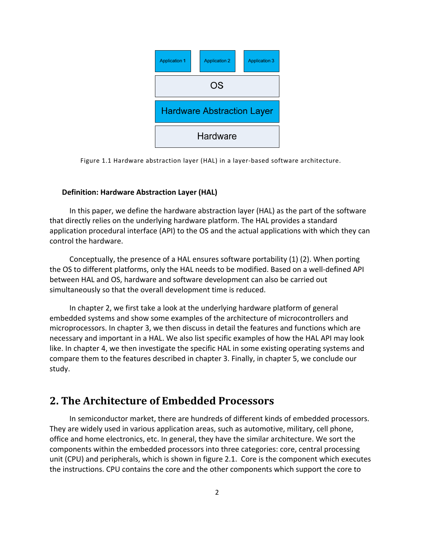

Figure 1.1 Hardware abstraction layer (HAL) in a layer‐based software architecture.

### **Definition: Hardware Abstraction Layer (HAL)**

 In this paper, we define the hardware abstraction layer (HAL) as the part of the software that directly relies on the underlying hardware platform. The HAL provides a standard application procedural interface (API) to the OS and the actual applications with which they can control the hardware.

 Conceptually, the presence of a HAL ensures software portability (1) (2). When porting the OS to different platforms, only the HAL needs to be modified. Based on a well‐defined API between HAL and OS, hardware and software development can also be carried out simultaneously so that the overall development time is reduced.

 In chapter 2, we first take a look at the underlying hardware platform of general embedded systems and show some examples of the architecture of microcontrollers and microprocessors. In chapter 3, we then discuss in detail the features and functions which are necessary and important in a HAL. We also list specific examples of how the HAL API may look like. In chapter 4, we then investigate the specific HAL in some existing operating systems and compare them to the features described in chapter 3. Finally, in chapter 5, we conclude our study.

# **2. The Architecture of Embedded Processors**

 In semiconductor market, there are hundreds of different kinds of embedded processors. They are widely used in various application areas, such as automotive, military, cell phone, office and home electronics, etc. In general, they have the similar architecture. We sort the components within the embedded processors into three categories: core, central processing unit (CPU) and peripherals, which is shown in figure 2.1. Core is the component which executes the instructions. CPU contains the core and the other components which support the core to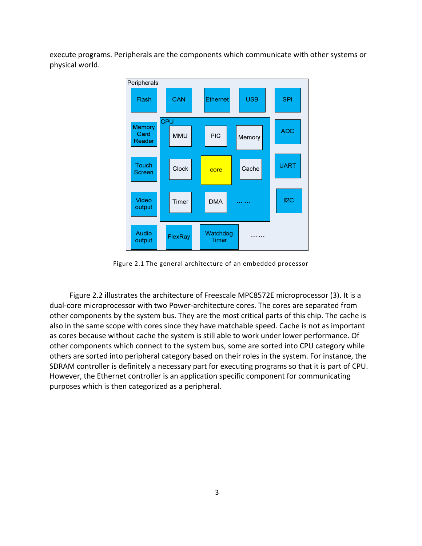execute programs. Peripherals are the components which communicate with other systems or physical world.



Figure 2.1 The general architecture of an embedded processor

 Figure 2.2 illustrates the architecture of Freescale MPC8572E microprocessor (3). It is a dual‐core microprocessor with two Power‐architecture cores. The cores are separated from other components by the system bus. They are the most critical parts of this chip. The cache is also in the same scope with cores since they have matchable speed. Cache is not as important as cores because without cache the system is still able to work under lower performance. Of other components which connect to the system bus, some are sorted into CPU category while others are sorted into peripheral category based on their roles in the system. For instance, the SDRAM controller is definitely a necessary part for executing programs so that it is part of CPU. However, the Ethernet controller is an application specific component for communicating purposes which is then categorized as a peripheral.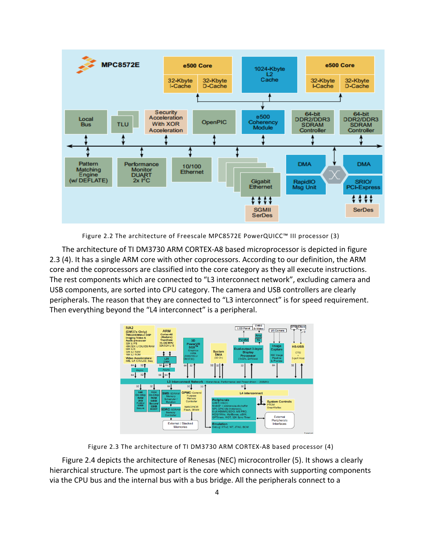

Figure 2.2 The architecture of Freescale MPC8572E PowerQUICC™ III processor (3)

The architecture of TI DM3730 ARM CORTEX‐A8 based microprocessor is depicted in figure 2.3 (4). It has a single ARM core with other coprocessors. According to our definition, the ARM core and the coprocessors are classified into the core category as they all execute instructions. The rest components which are connected to "L3 interconnect network", excluding camera and USB components, are sorted into CPU category. The camera and USB controllers are clearly peripherals. The reason that they are connected to "L3 interconnect" is for speed requirement. Then everything beyond the "L4 interconnect" is a peripheral.



Figure 2.3 The architecture of TI DM3730 ARM CORTEX‐A8 based processor (4)

Figure 2.4 depicts the architecture of Renesas (NEC) microcontroller (5). It shows a clearly hierarchical structure. The upmost part is the core which connects with supporting components via the CPU bus and the internal bus with a bus bridge. All the peripherals connect to a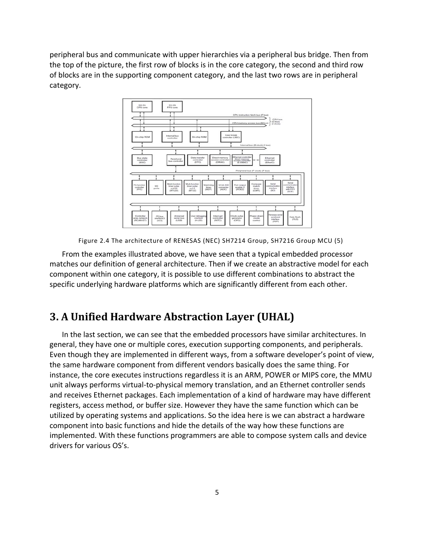peripheral bus and communicate with upper hierarchies via a peripheral bus bridge. Then from the top of the picture, the first row of blocks is in the core category, the second and third row of blocks are in the supporting component category, and the last two rows are in peripheral category.



Figure 2.4 The architecture of RENESAS (NEC) SH7214 Group, SH7216 Group MCU (5)

From the examples illustrated above, we have seen that a typical embedded processor matches our definition of general architecture. Then if we create an abstractive model for each component within one category, it is possible to use different combinations to abstract the specific underlying hardware platforms which are significantly different from each other.

# **3. A Unified Hardware Abstraction Layer (UHAL)**

In the last section, we can see that the embedded processors have similar architectures. In general, they have one or multiple cores, execution supporting components, and peripherals. Even though they are implemented in different ways, from a software developer's point of view, the same hardware component from different vendors basically does the same thing. For instance, the core executes instructions regardless it is an ARM, POWER or MIPS core, the MMU unit always performs virtual‐to‐physical memory translation, and an Ethernet controller sends and receives Ethernet packages. Each implementation of a kind of hardware may have different registers, access method, or buffer size. However they have the same function which can be utilized by operating systems and applications. So the idea here is we can abstract a hardware component into basic functions and hide the details of the way how these functions are implemented. With these functions programmers are able to compose system calls and device drivers for various OS's.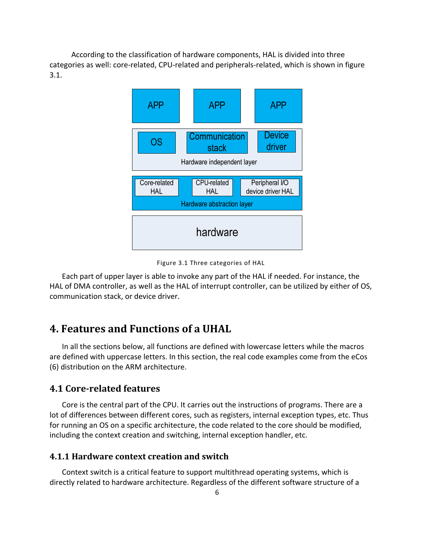According to the classification of hardware components, HAL is divided into three categories as well: core-related, CPU-related and peripherals-related, which is shown in figure 3.1.



Figure 3.1 Three categories of HAL

Each part of upper layer is able to invoke any part of the HAL if needed. For instance, the HAL of DMA controller, as well as the HAL of interrupt controller, can be utilized by either of OS, communication stack, or device driver.

# **4. Features and Functions of a UHAL**

In all the sections below, all functions are defined with lowercase letters while the macros are defined with uppercase letters. In this section, the real code examples come from the eCos (6) distribution on the ARM architecture.

## **4.1 Core‐related features**

Core is the central part of the CPU. It carries out the instructions of programs. There are a lot of differences between different cores, such as registers, internal exception types, etc. Thus for running an OS on a specific architecture, the code related to the core should be modified, including the context creation and switching, internal exception handler, etc.

### **4.1.1 Hardware context creation and switch**

Context switch is a critical feature to support multithread operating systems, which is directly related to hardware architecture. Regardless of the different software structure of a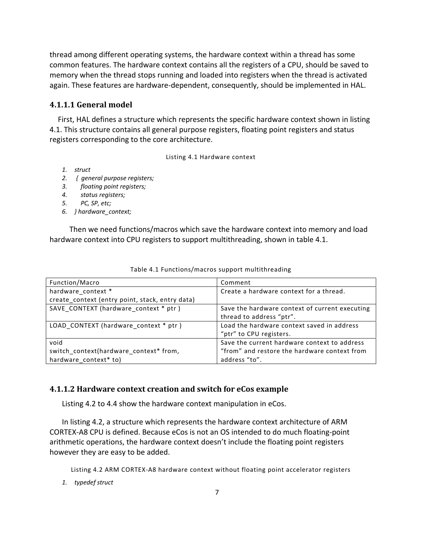thread among different operating systems, the hardware context within a thread has some common features. The hardware context contains all the registers of a CPU, should be saved to memory when the thread stops running and loaded into registers when the thread is activated again. These features are hardware‐dependent, consequently, should be implemented in HAL.

#### **4.1.1.1 General model**

First, HAL defines a structure which represents the specific hardware context shown in listing 4.1. This structure contains all general purpose registers, floating point registers and status registers corresponding to the core architecture.

Listing 4.1 Hardware context

- *1. struct*
- *2. { general purpose registers;*
- *3. floating point registers;*
- *4. status registers;*
- *5. PC, SP, etc;*
- *6. } hardware\_context;*

 Then we need functions/macros which save the hardware context into memory and load hardware context into CPU registers to support multithreading, shown in table 4.1.

| Function/Macro                                  | Comment                                                                    |
|-------------------------------------------------|----------------------------------------------------------------------------|
| hardware context *                              | Create a hardware context for a thread.                                    |
| create_context (entry point, stack, entry data) |                                                                            |
| SAVE CONTEXT (hardware context * ptr )          | Save the hardware context of current executing<br>thread to address "ptr". |
| LOAD_CONTEXT (hardware_context * ptr)           | Load the hardware context saved in address<br>"ptr" to CPU registers.      |
| void                                            | Save the current hardware context to address                               |
| switch context(hardware context* from,          | "from" and restore the hardware context from                               |
| hardware context* to)                           | address "to".                                                              |

Table 4.1 Functions/macros support multithreading

#### **4.1.1.2 Hardware context creation and switch for eCos example**

Listing 4.2 to 4.4 show the hardware context manipulation in eCos.

In listing 4.2, a structure which represents the hardware context architecture of ARM CORTEX‐A8 CPU is defined. Because eCos is not an OS intended to do much floating‐point arithmetic operations, the hardware context doesn't include the floating point registers however they are easy to be added.

Listing 4.2 ARM CORTEX‐A8 hardware context without floating point accelerator registers

*1. typedef struct*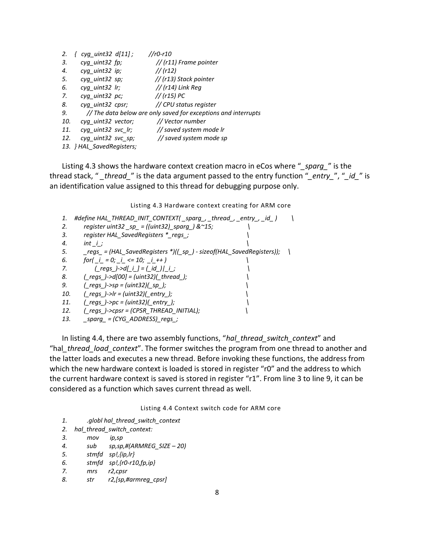| 2.  | $cyg\_uint32$ $d[11]$ ;   | $//r0-r10$                                                     |
|-----|---------------------------|----------------------------------------------------------------|
| 3.  | cyg uint32 fp;            | // (r11) Frame pointer                                         |
| 4.  | cyg uint32 ip;            | // (r12)                                                       |
| 5.  | cyg uint32 sp;            | // (r13) Stack pointer                                         |
| 6.  | cyg uint32 lr;            | $//$ (r14) Link Reg                                            |
| 7.  | cyg uint32 pc;            | // (r15) PC                                                    |
| 8.  | cyg uint32 cpsr;          | // CPU status register                                         |
| 9.  |                           | // The data below are only saved for exceptions and interrupts |
| 10. | cyg uint32 vector;        | // Vector number                                               |
| 11. | cyg uint32 svc lr;        | // saved system mode Ir                                        |
| 12. | cyg uint32 svc sp;        | // saved system mode sp                                        |
|     | 13. } HAL SavedRegisters; |                                                                |

Listing 4.3 shows the hardware context creation macro in eCos where "*\_sparg\_*" is the thread stack, " *\_thread\_*" is the data argument passed to the entry function "*\_entry\_*", "*\_id\_*" is an identification value assigned to this thread for debugging purpose only.

Listing 4.3 Hardware context creating for ARM core

```
1. #define HAL_THREAD_INIT_CONTEXT( _sparg_, _thread_, _entry_, _id_ )         \
2.       register uint32 _sp_ = ((uint32)_sparg_) &~15;                      \
3.       register HAL_SavedRegisters *_regs_;                                     \
4. int _i_;
5.       _regs_ = (HAL_SavedRegisters *)((_sp_) ‐ sizeof(HAL_SavedRegisters));     \
6. for( i = 0; i \le 10; i + 17.              (_regs_)‐>d[_i_] = (_id_)|_i_;                                              \
8.       (_regs_)‐>d[00] = (uint32)(_thread_);                                      \
9.       (_regs_)‐>sp = (uint32)(_sp_);                                                   \
10. ( regs )->lr = (\text{uint32})( entry );11.       (_regs_)‐>pc = (uint32)(_entry_);                                              \
12.       (_regs_)‐>cpsr = (CPSR_THREAD_INITIAL);                             \
13.       _sparg_ = (CYG_ADDRESS)_regs_;
```
In listing 4.4, there are two assembly functions, "*hal\_thread\_switch\_context*" and "hal*\_thread\_load\_context*". The former switches the program from one thread to another and the latter loads and executes a new thread. Before invoking these functions, the address from which the new hardware context is loaded is stored in register "r0" and the address to which the current hardware context is saved is stored in register "r1". From line 3 to line 9, it can be considered as a function which saves current thread as well.

Listing 4.4 Context switch code for ARM core

```
1.         .globl hal_thread_switch_context
```

```
2. hal_thread_switch_context:
```

```
3.         mov       ip,sp
```

```
4.         sub        sp,sp,#(ARMREG_SIZE – 20)
```

```
5.         stmfd    sp!,{ip,lr}
```

```
6.         stmfd    sp!,{r0‐r10,fp,ip}
```
- *7. mrs r2,cpsr*
- *8. str r2,[sp,#armreg\_cpsr]*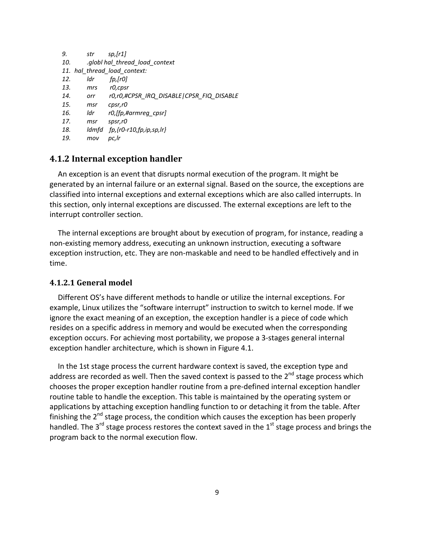```
9.         str         sp,[r1]                  
10.         .globl hal_thread_load_context
11. hal_thread_load_context:
12.         ldr          fp,[r0]                  
13.         mrs        r0,cpsr                  
14.         orr         r0,r0,#CPSR_IRQ_DISABLE|CPSR_FIQ_DISABLE
15.         msr       cpsr,r0
16.         ldr         r0,[fp,#armreg_cpsr]
17.         msr       spsr,r0
18.         ldmfd    fp,{r0‐r10,fp,ip,sp,lr}
19.         mov      pc,lr
```
## **4.1.2 Internal exception handler**

An exception is an event that disrupts normal execution of the program. It might be generated by an internal failure or an external signal. Based on the source, the exceptions are classified into internal exceptions and external exceptions which are also called interrupts. In this section, only internal exceptions are discussed. The external exceptions are left to the interrupt controller section.

The internal exceptions are brought about by execution of program, for instance, reading a non‐existing memory address, executing an unknown instruction, executing a software exception instruction, etc. They are non‐maskable and need to be handled effectively and in time.

#### **4.1.2.1 General model**

Different OS's have different methods to handle or utilize the internal exceptions. For example, Linux utilizes the "software interrupt" instruction to switch to kernel mode. If we ignore the exact meaning of an exception, the exception handler is a piece of code which resides on a specific address in memory and would be executed when the corresponding exception occurs. For achieving most portability, we propose a 3‐stages general internal exception handler architecture, which is shown in Figure 4.1.

In the 1st stage process the current hardware context is saved, the exception type and address are recorded as well. Then the saved context is passed to the  $2^{nd}$  stage process which chooses the proper exception handler routine from a pre‐defined internal exception handler routine table to handle the exception. This table is maintained by the operating system or applications by attaching exception handling function to or detaching it from the table. After finishing the  $2^{nd}$  stage process, the condition which causes the exception has been properly handled. The  $3<sup>rd</sup>$  stage process restores the context saved in the  $1<sup>st</sup>$  stage process and brings the program back to the normal execution flow.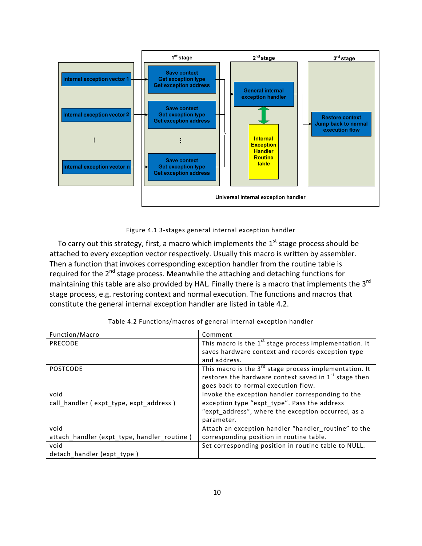

Figure 4.1 3‐stages general internal exception handler

To carry out this strategy, first, a macro which implements the  $1<sup>st</sup>$  stage process should be attached to every exception vector respectively. Usually this macro is written by assembler. Then a function that invokes corresponding exception handler from the routine table is required for the  $2^{nd}$  stage process. Meanwhile the attaching and detaching functions for maintaining this table are also provided by HAL. Finally there is a macro that implements the  $3^{rd}$ stage process, e.g. restoring context and normal execution. The functions and macros that constitute the general internal exception handler are listed in table 4.2.

| Function/Macro                              | Comment                                                            |
|---------------------------------------------|--------------------------------------------------------------------|
| PRECODE                                     | This macro is the $1st$ stage process implementation. It           |
|                                             | saves hardware context and records exception type                  |
|                                             | and address.                                                       |
| <b>POSTCODE</b>                             | This macro is the 3 <sup>rd</sup> stage process implementation. It |
|                                             | restores the hardware context saved in 1 <sup>st</sup> stage then  |
|                                             | goes back to normal execution flow.                                |
| void                                        | Invoke the exception handler corresponding to the                  |
| call_handler (expt_type, expt_address)      | exception type "expt type". Pass the address                       |
|                                             | "expt_address", where the exception occurred, as a                 |
|                                             | parameter.                                                         |
| void                                        | Attach an exception handler "handler_routine" to the               |
| attach_handler (expt_type, handler_routine) | corresponding position in routine table.                           |
| void                                        | Set corresponding position in routine table to NULL.               |
| detach_handler (expt_type)                  |                                                                    |

| Table 4.2 Functions/macros of general internal exception handler |  |  |  |
|------------------------------------------------------------------|--|--|--|
|                                                                  |  |  |  |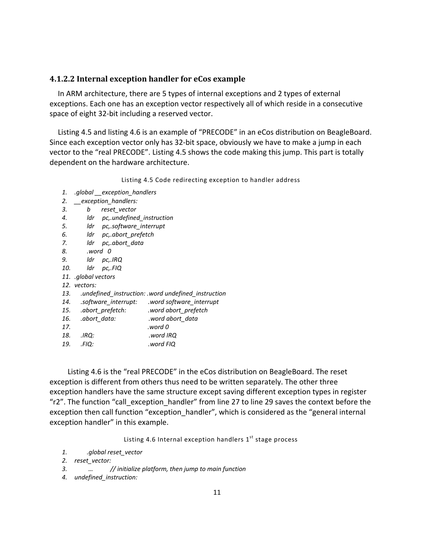#### **4.1.2.2 Internal exception handler for eCos example**

In ARM architecture, there are 5 types of internal exceptions and 2 types of external exceptions. Each one has an exception vector respectively all of which reside in a consecutive space of eight 32‐bit including a reserved vector.

Listing 4.5 and listing 4.6 is an example of "PRECODE" in an eCos distribution on BeagleBoard. Since each exception vector only has 32‐bit space, obviously we have to make a jump in each vector to the "real PRECODE". Listing 4.5 shows the code making this jump. This part is totally dependent on the hardware architecture.

Listing 4.5 Code redirecting exception to handler address

| 1.  |                     | global exception handlers.    |                                                    |  |
|-----|---------------------|-------------------------------|----------------------------------------------------|--|
| 2.  | exception handlers: |                               |                                                    |  |
| 3.  | b                   | reset vector                  |                                                    |  |
| 4.  |                     | ldr pc, undefined_instruction |                                                    |  |
| 5.  |                     | ldr pc,.software_interrupt    |                                                    |  |
| 6.  |                     | ldr pc, abort_prefetch        |                                                    |  |
| 7.  | ldr                 | pc, abort_data                |                                                    |  |
| 8.  |                     | word 0.                       |                                                    |  |
| 9.  |                     | ldr pc,.IRQ                   |                                                    |  |
| 10. | ldr                 | pc,.FIQ                       |                                                    |  |
|     | 11. global vectors  |                               |                                                    |  |
|     | 12. vectors:        |                               |                                                    |  |
| 13. |                     |                               | undefined instruction: word undefined instruction. |  |
| 14. |                     |                               | .software_interrupt: .word software_interrupt      |  |
| 15. |                     | .abort prefetch:              | .word abort_prefetch                               |  |
| 16. |                     | .abort data:                  | word abort_data.                                   |  |
| 17. |                     |                               | word 0.                                            |  |
| 18. | .IRQ:               |                               | word IRQ.                                          |  |
| 19. | :FIQ.               |                               | .word FIQ                                          |  |

 Listing 4.6 is the "real PRECODE" in the eCos distribution on BeagleBoard. The reset exception is different from others thus need to be written separately. The other three exception handlers have the same structure except saving different exception types in register "r2". The function "call\_exception\_handler" from line 27 to line 29 saves the context before the exception then call function "exception handler", which is considered as the "general internal exception handler" in this example.

Listing 4.6 Internal exception handlers  $1<sup>st</sup>$  stage process

*1. .global reset\_vector*

```
2. reset_vector:
```
- *3. … // initialize platform, then jump to main function*
- *4. undefined\_instruction:*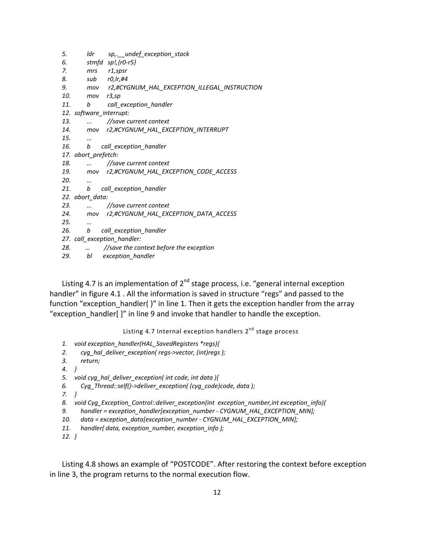| 5.  | Idr                     | sp,. undef exception stack                       |
|-----|-------------------------|--------------------------------------------------|
| 6.  |                         | stmfd $sp!/r0-r5$ }                              |
| 7.  | mrs                     | r1,spsr                                          |
| 8.  |                         | sub $r0,$ Ir,#4                                  |
| 9.  |                         | mov r2,#CYGNUM_HAL_EXCEPTION_ILLEGAL_INSTRUCTION |
| 10. | mov                     | r3,sp                                            |
| 11. | b                       | call_exception_handler                           |
|     | 12. software_interrupt: |                                                  |
| 13. |                         | //save current context                           |
| 14. | mov                     | r2,#CYGNUM_HAL_EXCEPTION_INTERRUPT               |
| 15. |                         |                                                  |
| 16. | b                       | call_exception_handler                           |
|     | 17. abort_prefetch:     |                                                  |
| 18. |                         | //save current context                           |
|     | 19.<br>mov              | r2,#CYGNUM_HAL_EXCEPTION_CODE_ACCESS             |
| 20. |                         |                                                  |
| 21. | b                       | call_exception_handler                           |
|     | 22. abort_data:         |                                                  |
| 23. |                         | //save current context                           |
| 24. | mov                     | r2,#CYGNUM_HAL_EXCEPTION_DATA_ACCESS             |
| 25. | $\cdot \cdot$           |                                                  |
| 26. | b                       | call_exception_handler                           |
|     |                         | 27. call_exception_handler:                      |
| 28. |                         | //save the context before the exception          |
| 29. | bl                      | exception handler                                |

Listing 4.7 is an implementation of  $2^{nd}$  stage process, i.e. "general internal exception handler" in figure 4.1 . All the information is saved in structure "regs" and passed to the function "exception\_handler( )" in line 1. Then it gets the exception handler from the array "exception handler[ ]" in line 9 and invoke that handler to handle the exception.

Listing 4.7 Internal exception handlers 2<sup>nd</sup> stage process

- *1. void exception\_handler(HAL\_SavedRegisters \*regs){*
- *2. cyg\_hal\_deliver\_exception( regs‐>vector, (int)regs );*
- *3. return;*
- *4. }*
- *5. void cyg\_hal\_deliver\_exception( int code, int data ){*
- *6. Cyg\_Thread::self()‐>deliver\_exception( (cyg\_code)code, data );*
- *7. }*
- *8. void Cyg\_Exception\_Control::deliver\_exception(int exception\_number,int exception\_info){*
- *9. handler = exception\_handler[exception\_number ‐ CYGNUM\_HAL\_EXCEPTION\_MIN];*
- 10. *data* = exception\_data[exception\_number CYGNUM\_HAL\_EXCEPTION\_MIN];
- *11. handler( data, exception\_number, exception\_info );*

*12. }*

Listing 4.8 shows an example of "POSTCODE". After restoring the context before exception in line 3, the program returns to the normal execution flow.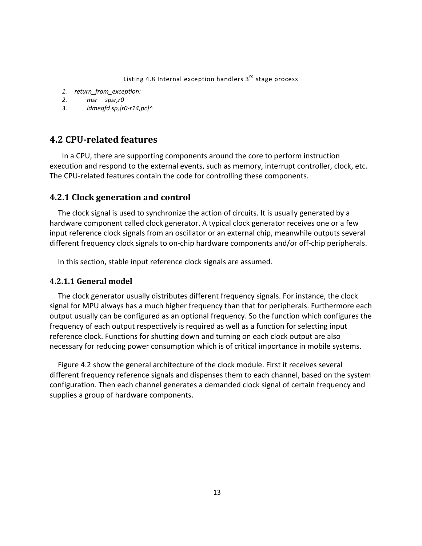Listing 4.8 Internal exception handlers  $3<sup>rd</sup>$  stage process

- *1. return\_from\_exception:*
- *2. msr spsr,r0*
- *3. ldmeqfd sp,{r0‐r14,pc}^*

# **4.2 CPU‐related features**

In a CPU, there are supporting components around the core to perform instruction execution and respond to the external events, such as memory, interrupt controller, clock, etc. The CPU-related features contain the code for controlling these components.

## **4.2.1 Clock generation and control**

The clock signal is used to synchronize the action of circuits. It is usually generated by a hardware component called clock generator. A typical clock generator receives one or a few input reference clock signals from an oscillator or an external chip, meanwhile outputs several different frequency clock signals to on‐chip hardware components and/or off‐chip peripherals.

In this section, stable input reference clock signals are assumed.

#### **4.2.1.1 General model**

The clock generator usually distributes different frequency signals. For instance, the clock signal for MPU always has a much higher frequency than that for peripherals. Furthermore each output usually can be configured as an optional frequency. So the function which configures the frequency of each output respectively is required as well as a function for selecting input reference clock. Functions for shutting down and turning on each clock output are also necessary for reducing power consumption which is of critical importance in mobile systems.

Figure 4.2 show the general architecture of the clock module. First it receives several different frequency reference signals and dispenses them to each channel, based on the system configuration. Then each channel generates a demanded clock signal of certain frequency and supplies a group of hardware components.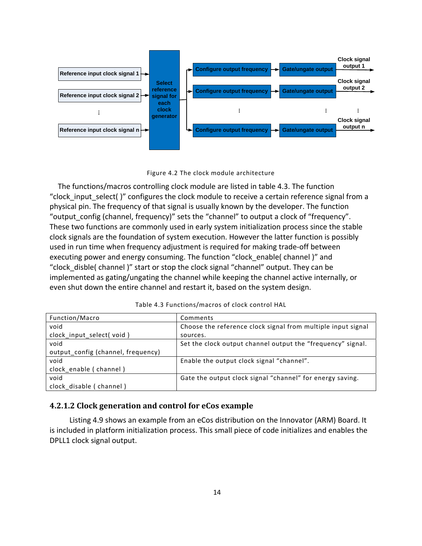



The functions/macros controlling clock module are listed in table 4.3. The function "clock input select( )" configures the clock module to receive a certain reference signal from a physical pin. The frequency of that signal is usually known by the developer. The function "output config (channel, frequency)" sets the "channel" to output a clock of "frequency". These two functions are commonly used in early system initialization process since the stable clock signals are the foundation of system execution. However the latter function is possibly used in run time when frequency adjustment is required for making trade‐off between executing power and energy consuming. The function "clock\_enable( channel )" and "clock\_disble( channel )" start or stop the clock signal "channel" output. They can be implemented as gating/ungating the channel while keeping the channel active internally, or even shut down the entire channel and restart it, based on the system design.

| Function/Macro                     | Comments                                                     |
|------------------------------------|--------------------------------------------------------------|
| void                               | Choose the reference clock signal from multiple input signal |
| clock_input_select(void)           | sources.                                                     |
| void                               | Set the clock output channel output the "frequency" signal.  |
| output_config (channel, frequency) |                                                              |
| void                               | Enable the output clock signal "channel".                    |
| clock enable (channel)             |                                                              |
| void                               | Gate the output clock signal "channel" for energy saving.    |
| clock disable (channel)            |                                                              |

Table 4.3 Functions/macros of clock control HAL

#### **4.2.1.2 Clock generation and control for eCos example**

 Listing 4.9 shows an example from an eCos distribution on the Innovator (ARM) Board. It is included in platform initialization process. This small piece of code initializes and enables the DPLL1 clock signal output.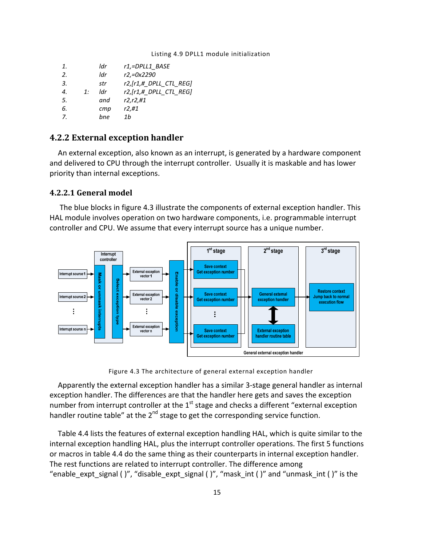#### Listing 4.9 DPLL1 module initialization

| 1. |    | ldr | $r1$ ,=DPLL1 BASE       |
|----|----|-----|-------------------------|
| 2. |    | ldr | r2,=0x2290              |
| 3. |    | str | r2, [r1,# DPLL CTL REG] |
| 4. | 1: | Idr | r2, [r1,# DPLL CTL REG] |
| 5. |    | and | r2,r2,#1                |
| 6. |    | cmp | r2,#1                   |
| 7. |    | bne | 1h                      |

### **4.2.2 External exception handler**

An external exception, also known as an interrupt, is generated by a hardware component and delivered to CPU through the interrupt controller. Usually it is maskable and has lower priority than internal exceptions.

### **4.2.2.1 General model**

The blue blocks in figure 4.3 illustrate the components of external exception handler. This HAL module involves operation on two hardware components, i.e. programmable interrupt controller and CPU. We assume that every interrupt source has a unique number.



Figure 4.3 The architecture of general external exception handler

Apparently the external exception handler has a similar 3‐stage general handler as internal exception handler. The differences are that the handler here gets and saves the exception number from interrupt controller at the  $1<sup>st</sup>$  stage and checks a different "external exception handler routine table" at the  $2<sup>nd</sup>$  stage to get the corresponding service function.

Table 4.4 lists the features of external exception handling HAL, which is quite similar to the internal exception handling HAL, plus the interrupt controller operations. The first 5 functions or macros in table 4.4 do the same thing as their counterparts in internal exception handler. The rest functions are related to interrupt controller. The difference among "enable expt signal ( )", "disable expt signal ( )", "mask int ( )" and "unmask int ( )" is the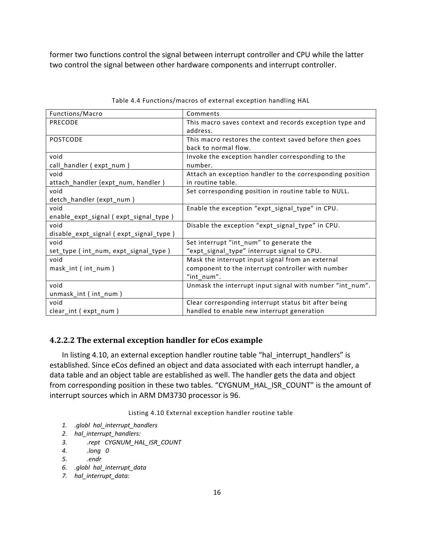former two functions control the signal between interrupt controller and CPU while the latter two control the signal between other hardware components and interrupt controller.

| Functions/Macro                        | Comments                                                  |
|----------------------------------------|-----------------------------------------------------------|
| <b>PRECODE</b>                         | This macro saves context and records exception type and   |
|                                        | address.                                                  |
| <b>POSTCODE</b>                        | This macro restores the context saved before then goes    |
|                                        | back to normal flow.                                      |
| void                                   | Invoke the exception handler corresponding to the         |
| call_handler (expt_num)                | number.                                                   |
| void                                   | Attach an exception handler to the corresponding position |
| attach_handler (expt_num, handler)     | in routine table.                                         |
| void                                   | Set corresponding position in routine table to NULL.      |
| detch_handler (expt_num)               |                                                           |
| void                                   | Enable the exception "expt signal type" in CPU.           |
| enable_expt_signal (expt_signal_type)  |                                                           |
| void                                   | Disable the exception "expt_signal_type" in CPU.          |
| disable_expt_signal (expt_signal_type) |                                                           |
| void                                   | Set interrupt "int_num" to generate the                   |
| set_type (int_num, expt_signal_type)   | "expt_signal_type" interrupt signal to CPU.               |
| void                                   | Mask the interrupt input signal from an external          |
| mask_int (int_num)                     | component to the interrupt controller with number         |
|                                        | "int num".                                                |
| void                                   | Unmask the interrupt input signal with number "int_num".  |
| unmask_int (int_num)                   |                                                           |
| void                                   | Clear corresponding interrupt status bit after being      |
| clear int (expt num)                   | handled to enable new interrupt generation                |

Table 4.4 Functions/macros of external exception handling HAL

#### **4.2.2.2 The external exception handler for eCos example**

In listing 4.10, an external exception handler routine table "hal\_interrupt\_handlers" is established. Since eCos defined an object and data associated with each interrupt handler, a data table and an object table are established as well. The handler gets the data and object from corresponding position in these two tables. "CYGNUM\_HAL\_ISR\_COUNT" is the amount of interrupt sources which in ARM DM3730 processor is 96.

Listing 4.10 External exception handler routine table

- *1. .globl hal\_interrupt\_handlers*
- *2. hal\_interrupt\_handlers:*
- *3. .rept CYGNUM\_HAL\_ISR\_COUNT*
- *4. .long 0*
- *5. .endr*
- *6. .globl hal\_interrupt\_data*
- *7. hal\_interrupt\_data:*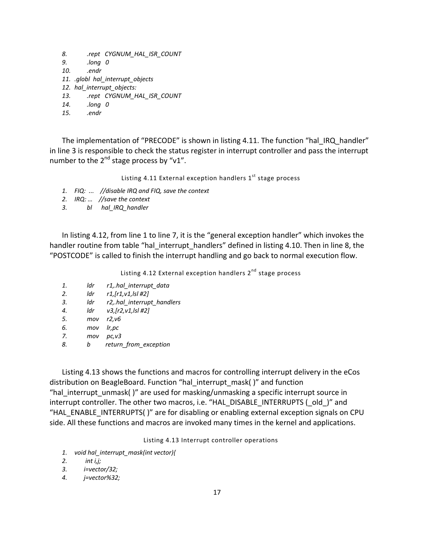*8. .rept CYGNUM\_HAL\_ISR\_COUNT 9. .long 0 10. .endr* 11. *.globl hal interrupt objects 12. hal\_interrupt\_objects: 13. .rept CYGNUM\_HAL\_ISR\_COUNT 14. .long 0*

*15. .endr*

The implementation of "PRECODE" is shown in listing 4.11. The function "hal\_IRQ\_handler" in line 3 is responsible to check the status register in interrupt controller and pass the interrupt number to the  $2^{nd}$  stage process by "v1".

Listing 4.11 External exception handlers  $1<sup>st</sup>$  stage process

- *1. FIQ: ... //disable IRQ and FIQ, save the context*
- *2. IRQ: … //save the context*
- *3. bl hal\_IRQ\_handler*

In listing 4.12, from line 1 to line 7, it is the "general exception handler" which invokes the handler routine from table "hal\_interrupt\_handlers" defined in listing 4.10. Then in line 8, the "POSTCODE" is called to finish the interrupt handling and go back to normal execution flow.

Listing 4.12 External exception handlers 2<sup>nd</sup> stage process

- *1. ldr r1,.hal\_interrupt\_data*
- *2. ldr r1,[r1,v1,lsl #2]*
- *3. ldr r2,.hal\_interrupt\_handlers*
- *4. ldr v3,[r2,v1,lsl #2]*
- *5. mov r2,v6*
- *6. mov lr,pc*
- *7. mov pc,v3*
- *8. b return\_from\_exception*

Listing 4.13 shows the functions and macros for controlling interrupt delivery in the eCos distribution on BeagleBoard. Function "hal\_interrupt\_mask( )" and function "hal interrupt unmask( )" are used for masking/unmasking a specific interrupt source in interrupt controller. The other two macros, i.e. "HAL\_DISABLE\_INTERRUPTS (\_old\_)" and "HAL\_ENABLE\_INTERRUPTS( )" are for disabling or enabling external exception signals on CPU side. All these functions and macros are invoked many times in the kernel and applications.

Listing 4.13 Interrupt controller operations

- *1. void hal\_interrupt\_mask(int vector){*
- *2. int i,j;*
- *3. i=vector/32;*
- *4. j=vector%32;*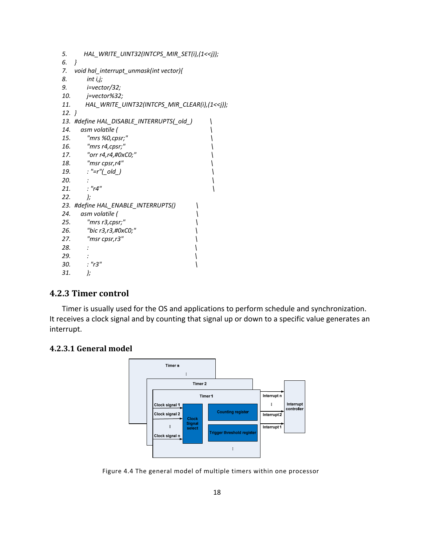| 5.      | HAL_WRITE_UINT32(INTCPS_MIR_SET(i),(1< <j));< th=""><th></th></j));<>   |  |
|---------|-------------------------------------------------------------------------|--|
| 6.      | ł                                                                       |  |
|         | 7. void hal_interrupt_unmask(int vector){                               |  |
| 8.      | int i,j;                                                                |  |
| 9.      | <i>i</i> =vector/32;                                                    |  |
| 10.     | j=vector%32;                                                            |  |
| 11.     | HAL_WRITE_UINT32(INTCPS_MIR_CLEAR(i),(1< <j));< td=""><td></td></j));<> |  |
| $12.$ } |                                                                         |  |
|         | 13. #define HAL_DISABLE_INTERRUPTS(_old_)                               |  |
| 14.     | asm volatile (                                                          |  |
| 15.     | "mrs %0,cpsr;"                                                          |  |
| 16.     | "mrs r4,cpsr;"                                                          |  |
| 17.     | "orr r4,r4,#0xC0;"                                                      |  |
| 18.     | "msr cpsr,r4"                                                           |  |
| 19.     | : "=r"(_old_)                                                           |  |
| 20.     |                                                                         |  |
| 21.     | : "r4"                                                                  |  |
| 22.     | );                                                                      |  |
|         | 23. #define HAL_ENABLE_INTERRUPTS()                                     |  |
| 24.     | asm volatile (                                                          |  |
| 25.     | "mrs r3,cpsr;"                                                          |  |
| 26.     | "bic r3,r3,#0xC0;"                                                      |  |
| 27.     | "msr cpsr,r3"                                                           |  |
| 28.     |                                                                         |  |
| 29.     |                                                                         |  |
| 30.     | : "r3"                                                                  |  |
| 31.     | );                                                                      |  |
|         |                                                                         |  |

# **4.2.3 Timer control**

Timer is usually used for the OS and applications to perform schedule and synchronization. It receives a clock signal and by counting that signal up or down to a specific value generates an interrupt.

### **4.2.3.1 General model**



Figure 4.4 The general model of multiple timers within one processor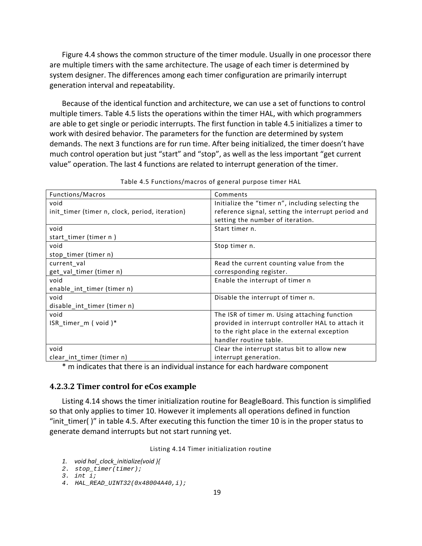Figure 4.4 shows the common structure of the timer module. Usually in one processor there are multiple timers with the same architecture. The usage of each timer is determined by system designer. The differences among each timer configuration are primarily interrupt generation interval and repeatability.

Because of the identical function and architecture, we can use a set of functions to control multiple timers. Table 4.5 lists the operations within the timer HAL, with which programmers are able to get single or periodic interrupts. The first function in table 4.5 initializes a timer to work with desired behavior. The parameters for the function are determined by system demands. The next 3 functions are for run time. After being initialized, the timer doesn't have much control operation but just "start" and "stop", as well as the less important "get current value" operation. The last 4 functions are related to interrupt generation of the timer.

| Functions/Macros                               | Comments                                           |
|------------------------------------------------|----------------------------------------------------|
| void                                           | Initialize the "timer n", including selecting the  |
| init_timer (timer n, clock, period, iteration) | reference signal, setting the interrupt period and |
|                                                | setting the number of iteration.                   |
| void                                           | Start timer n.                                     |
| start_timer (timer n)                          |                                                    |
| void                                           | Stop timer n.                                      |
| stop_timer (timer n)                           |                                                    |
| current val                                    | Read the current counting value from the           |
| get_val_timer (timer n)                        | corresponding register.                            |
| void                                           | Enable the interrupt of timer n                    |
| enable int timer (timer n)                     |                                                    |
| void                                           | Disable the interrupt of timer n.                  |
| disable_int_timer (timer n)                    |                                                    |
| void                                           | The ISR of timer m. Using attaching function       |
| ISR_timer_m (void)*                            | provided in interrupt controller HAL to attach it  |
|                                                | to the right place in the external exception       |
|                                                | handler routine table.                             |
| void                                           | Clear the interrupt status bit to allow new        |
| clear int timer (timer n)                      | interrupt generation.                              |

| Table 4.5 Functions/macros of general purpose timer HAL |  |  |  |  |  |
|---------------------------------------------------------|--|--|--|--|--|
|---------------------------------------------------------|--|--|--|--|--|

\* m indicates that there is an individual instance for each hardware component

#### **4.2.3.2 Timer control for eCos example**

Listing 4.14 shows the timer initialization routine for BeagleBoard. This function is simplified so that only applies to timer 10. However it implements all operations defined in function "init timer()" in table 4.5. After executing this function the timer 10 is in the proper status to generate demand interrupts but not start running yet.

Listing 4.14 Timer initialization routine

```
1. void hal_clock_initialize(void ){
```

```
2. stop_timer(timer);
```

```
3. int i;
```

```
4. HAL_READ_UINT32(0x48004A40,i);
```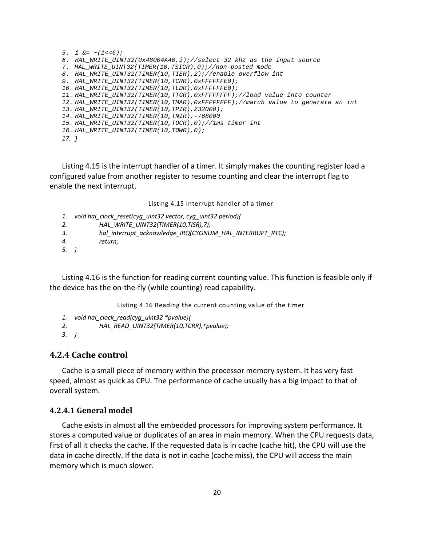```
5. i &= ~(1<<6); 
6. HAL_WRITE_UINT32(0x48004A40,i);//select 32 khz as the input source 
7. HAL_WRITE_UINT32(TIMER(10,TSICR),0);//non-posted mode 
8. HAL_WRITE_UINT32(TIMER(10,TIER),2);//enable overflow int 
9. HAL_WRITE_UINT32(TIMER(10,TCRR),0xFFFFFFE0); 
10. HAL_WRITE_UINT32(TIMER(10,TLDR),0xFFFFFFE0); 
11. HAL_WRITE_UINT32(TIMER(10,TTGR),0xFFFFFFFF);//load value into counter 
12. HAL_WRITE_UINT32(TIMER(10,TMAR),0xFFFFFFFF);//march value to generate an int 
13. HAL_WRITE_UINT32(TIMER(10,TPIR),232000); 
14. HAL_WRITE_UINT32(TIMER(10,TNIR),-768000 
15. HAL_WRITE_UINT32(TIMER(10,TOCR),0);//1ms timer int 
16. HAL_WRITE_UINT32(TIMER(10,TOWR),0); 
17. }
```
Listing 4.15 is the interrupt handler of a timer. It simply makes the counting register load a configured value from another register to resume counting and clear the interrupt flag to enable the next interrupt.

Listing 4.15 Interrupt handler of a timer

- *1. void hal\_clock\_reset(cyg\_uint32 vector, cyg\_uint32 period){*
- *2. HAL\_WRITE\_UINT32(TIMER(10,TISR),7);*
- *3. hal\_interrupt\_acknowledge\_IRQ(CYGNUM\_HAL\_INTERRUPT\_RTC);*
- *4. return;*
- *5. }*

Listing 4.16 is the function for reading current counting value. This function is feasible only if the device has the on‐the‐fly (while counting) read capability.

Listing 4.16 Reading the current counting value of the timer

- *1. void hal\_clock\_read(cyg\_uint32 \*pvalue){*
- *2. HAL\_READ\_UINT32(TIMER(10,TCRR),\*pvalue);*
- *3. }*

#### **4.2.4 Cache control**

Cache is a small piece of memory within the processor memory system. It has very fast speed, almost as quick as CPU. The performance of cache usually has a big impact to that of overall system.

#### **4.2.4.1 General model**

Cache exists in almost all the embedded processors for improving system performance. It stores a computed value or duplicates of an area in main memory. When the CPU requests data, first of all it checks the cache. If the requested data is in cache (cache hit), the CPU will use the data in cache directly. If the data is not in cache (cache miss), the CPU will access the main memory which is much slower.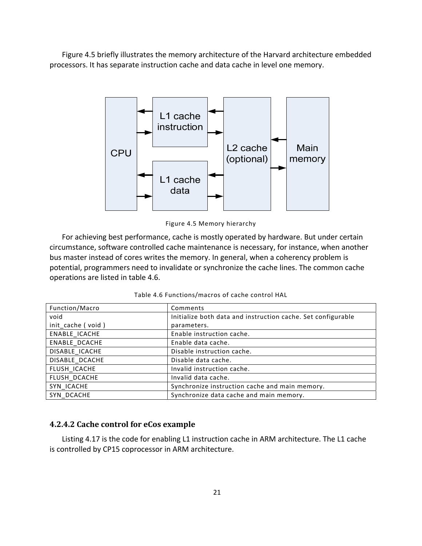Figure 4.5 briefly illustrates the memory architecture of the Harvard architecture embedded processors. It has separate instruction cache and data cache in level one memory.



Figure 4.5 Memory hierarchy

For achieving best performance, cache is mostly operated by hardware. But under certain circumstance, software controlled cache maintenance is necessary, for instance, when another bus master instead of cores writes the memory. In general, when a coherency problem is potential, programmers need to invalidate or synchronize the cache lines. The common cache operations are listed in table 4.6.

| Function/Macro    | Comments                                                     |
|-------------------|--------------------------------------------------------------|
| void              | Initialize both data and instruction cache. Set configurable |
| init_cache (void) | parameters.                                                  |
| ENABLE ICACHE     | Enable instruction cache.                                    |
| ENABLE DCACHE     | Enable data cache.                                           |
| DISABLE ICACHE    | Disable instruction cache.                                   |
| DISABLE DCACHE    | Disable data cache.                                          |
| FLUSH ICACHE      | Invalid instruction cache.                                   |
| FLUSH DCACHE      | Invalid data cache.                                          |
| SYN ICACHE        | Synchronize instruction cache and main memory.               |
| SYN DCACHE        | Synchronize data cache and main memory.                      |

### **4.2.4.2 Cache control for eCos example**

Listing 4.17 is the code for enabling L1 instruction cache in ARM architecture. The L1 cache is controlled by CP15 coprocessor in ARM architecture.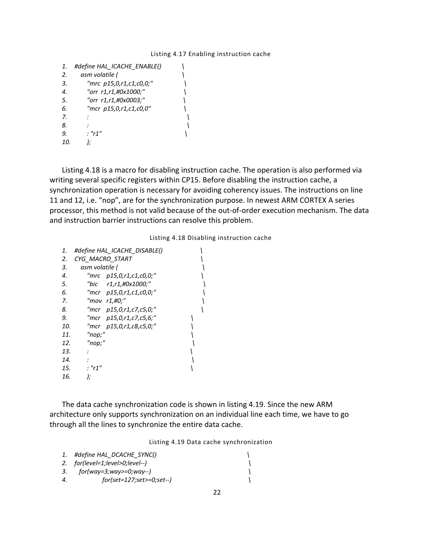#### Listing 4.17 Enabling instruction cache

| 1.  | #define HAL ICACHE ENABLE() |  |
|-----|-----------------------------|--|
| 2.  | asm volatile (              |  |
| 3.  | "mrc p15,0,r1,c1,c0,0;"     |  |
| 4.  | "orr r1,r1,#0x1000;"        |  |
| 5.  | "orr r1,r1,#0x0003;"        |  |
| 6.  | "mcr p15,0,r1,c1,c0,0"      |  |
| 7.  |                             |  |
| 8.  |                             |  |
| 9.  | $\cdot$ "r1"                |  |
| 10. |                             |  |

Listing 4.18 is a macro for disabling instruction cache. The operation is also performed via writing several specific registers within CP15. Before disabling the instruction cache, a synchronization operation is necessary for avoiding coherency issues. The instructions on line 11 and 12, i.e. "nop", are for the synchronization purpose. In newest ARM CORTEX A series processor, this method is not valid because of the out‐of‐order execution mechanism. The data and instruction barrier instructions can resolve this problem.

#### Listing 4.18 Disabling instruction cache

| 1.  | #define HAL_ICACHE_DISABLE() |  |
|-----|------------------------------|--|
| 2.  | CYG MACRO START              |  |
| 3.  | asm volatile (               |  |
| 4.  | "mrc p15,0,r1,c1,c0,0;"      |  |
| 5.  | "bic r1,r1,#0x1000;"         |  |
| 6.  | "mcr p15,0,r1,c1,c0,0;"      |  |
| 7.  | "mov r1,#0;"                 |  |
| 8.  | "mcr p15,0,r1,c7,c5,0;"      |  |
| 9.  | "mcr p15,0,r1,c7,c5,6;"      |  |
| 10. | "mcr p15,0,r1,c8,c5,0;"      |  |
| 11. | "nop;"                       |  |
| 12. | "nop;"                       |  |
| 13. |                              |  |
| 14. |                              |  |
| 15. | : "r1"                       |  |
| 16. | );                           |  |

The data cache synchronization code is shown in listing 4.19. Since the new ARM architecture only supports synchronization on an individual line each time, we have to go through all the lines to synchronize the entire data cache.

Listing 4.19 Data cache synchronization

|                  | 1. #define HAL DCACHE SYNC()        |  |
|------------------|-------------------------------------|--|
|                  | 2. $for (level=1; level>0; level-)$ |  |
| 3.               | for(way=3;way>=0;way--)             |  |
| $\boldsymbol{A}$ | for(set=127;set>=0;set--)           |  |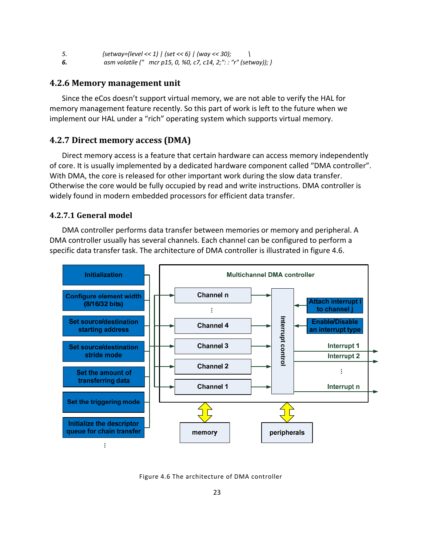- *5. {setway=(level << 1) | (set << 6) | (way << 30); \*
- *6. asm volatile (" mcr p15, 0, %0, c7, c14, 2;": : "r" (setway)); }*

### **4.2.6 Memory management unit**

Since the eCos doesn't support virtual memory, we are not able to verify the HAL for memory management feature recently. So this part of work is left to the future when we implement our HAL under a "rich" operating system which supports virtual memory.

### **4.2.7 Direct memory access (DMA)**

Direct memory access is a feature that certain hardware can access memory independently of core. It is usually implemented by a dedicated hardware component called "DMA controller". With DMA, the core is released for other important work during the slow data transfer. Otherwise the core would be fully occupied by read and write instructions. DMA controller is widely found in modern embedded processors for efficient data transfer.

#### **4.2.7.1 General model**

DMA controller performs data transfer between memories or memory and peripheral. A DMA controller usually has several channels. Each channel can be configured to perform a specific data transfer task. The architecture of DMA controller is illustrated in figure 4.6.



Figure 4.6 The architecture of DMA controller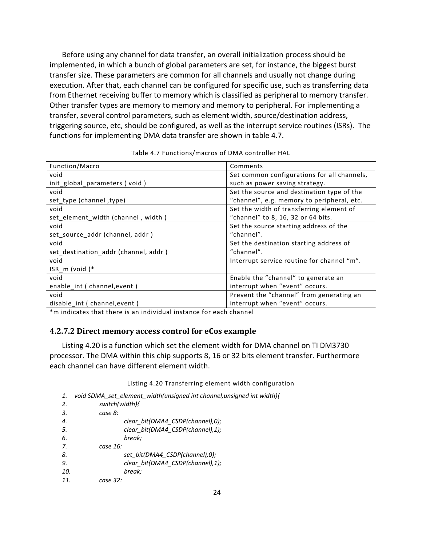Before using any channel for data transfer, an overall initialization process should be implemented, in which a bunch of global parameters are set, for instance, the biggest burst transfer size. These parameters are common for all channels and usually not change during execution. After that, each channel can be configured for specific use, such as transferring data from Ethernet receiving buffer to memory which is classified as peripheral to memory transfer. Other transfer types are memory to memory and memory to peripheral. For implementing a transfer, several control parameters, such as element width, source/destination address, triggering source, etc, should be configured, as well as the interrupt service routines (ISRs). The functions for implementing DMA data transfer are shown in table 4.7.

| Function/Macro                       | Comments                                    |
|--------------------------------------|---------------------------------------------|
| void                                 | Set common configurations for all channels, |
| init_global_parameters (void)        | such as power saving strategy.              |
| void                                 | Set the source and destination type of the  |
| set_type (channel, type)             | "channel", e.g. memory to peripheral, etc.  |
| void                                 | Set the width of transferring element of    |
| set element width (channel, width)   | "channel" to 8, 16, 32 or 64 bits.          |
| void                                 | Set the source starting address of the      |
| set source addr (channel, addr)      | "channel".                                  |
| void                                 | Set the destination starting address of     |
| set_destination_addr (channel, addr) | "channel".                                  |
| void                                 | Interrupt service routine for channel "m".  |
| $ISR_m$ (void)*                      |                                             |
| void                                 | Enable the "channel" to generate an         |
| enable_int ( channel, event )        | interrupt when "event" occurs.              |
| void                                 | Prevent the "channel" from generating an    |
| disable int ( channel, event )       | interrupt when "event" occurs.              |

Table 4.7 Functions/macros of DMA controller HAL

\*m indicates that there is an individual instance for each channel

#### **4.2.7.2 Direct memory access control for eCos example**

Listing 4.20 is a function which set the element width for DMA channel on TI DM3730 processor. The DMA within this chip supports 8, 16 or 32 bits element transfer. Furthermore each channel can have different element width.

Listing 4.20 Transferring element width configuration

*1. void SDMA\_set\_element\_width(unsigned int channel,unsigned int width){*

| 2.  | switch(width){ |                                  |
|-----|----------------|----------------------------------|
| 3.  | case 8:        |                                  |
| 4.  |                | clear bit(DMA4 CSDP(channel),0); |
| 5.  |                | clear bit(DMA4 CSDP(channel),1); |
| 6.  |                | break:                           |
| 7.  | case 16:       |                                  |
| 8.  |                | set bit(DMA4 CSDP(channel),0);   |
| 9.  |                | clear bit(DMA4 CSDP(channel),1); |
| 10. |                | break:                           |
| 11. | case 32:       |                                  |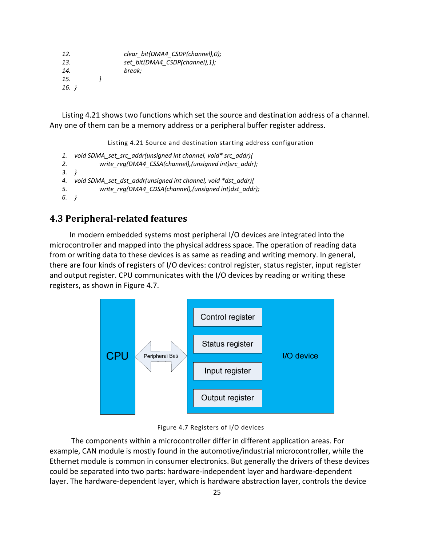| clear bit(DMA4 CSDP(channel),0); |
|----------------------------------|
| set bit(DMA4 CSDP(channel),1);   |
| break;                           |
|                                  |
|                                  |
|                                  |

Listing 4.21 shows two functions which set the source and destination address of a channel. Any one of them can be a memory address or a peripheral buffer register address.

Listing 4.21 Source and destination starting address configuration

- *1. void SDMA\_set\_src\_addr(unsigned int channel, void\* src\_addr){*
- *2. write\_reg(DMA4\_CSSA(channel),(unsigned int)src\_addr);*
- *3. }*
- *4. void SDMA\_set\_dst\_addr(unsigned int channel, void \*dst\_addr){*
- *5. write\_reg(DMA4\_CDSA(channel),(unsigned int)dst\_addr);*
- *6. }*

## **4.3 Peripheral‐related features**

 In modern embedded systems most peripheral I/O devices are integrated into the microcontroller and mapped into the physical address space. The operation of reading data from or writing data to these devices is as same as reading and writing memory. In general, there are four kinds of registers of I/O devices: control register, status register, input register and output register. CPU communicates with the I/O devices by reading or writing these registers, as shown in Figure 4.7.



Figure 4.7 Registers of I/O devices

 The components within a microcontroller differ in different application areas. For example, CAN module is mostly found in the automotive/industrial microcontroller, while the Ethernet module is common in consumer electronics. But generally the drivers of these devices could be separated into two parts: hardware‐independent layer and hardware‐dependent layer. The hardware-dependent layer, which is hardware abstraction layer, controls the device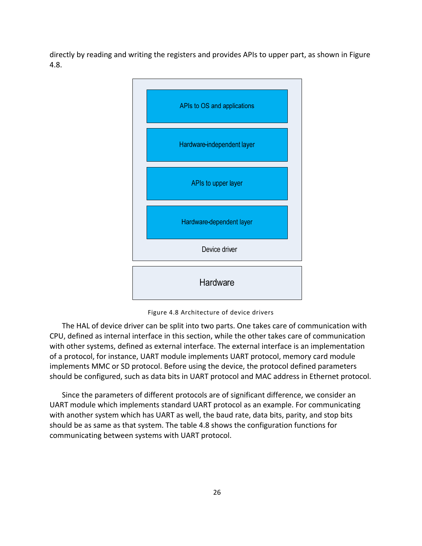directly by reading and writing the registers and provides APIs to upper part, as shown in Figure 4.8.



Figure 4.8 Architecture of device drivers

The HAL of device driver can be split into two parts. One takes care of communication with CPU, defined as internal interface in this section, while the other takes care of communication with other systems, defined as external interface. The external interface is an implementation of a protocol, for instance, UART module implements UART protocol, memory card module implements MMC or SD protocol. Before using the device, the protocol defined parameters should be configured, such as data bits in UART protocol and MAC address in Ethernet protocol.

Since the parameters of different protocols are of significant difference, we consider an UART module which implements standard UART protocol as an example. For communicating with another system which has UART as well, the baud rate, data bits, parity, and stop bits should be as same as that system. The table 4.8 shows the configuration functions for communicating between systems with UART protocol.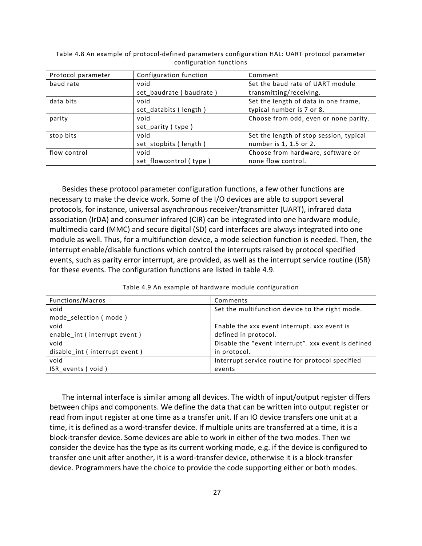| Protocol parameter | Configuration function  | Comment                                 |
|--------------------|-------------------------|-----------------------------------------|
| baud rate          | void                    | Set the baud rate of UART module        |
|                    | set baudrate (baudrate) | transmitting/receiving.                 |
| data bits          | void                    | Set the length of data in one frame,    |
|                    | set databits (length)   | typical number is 7 or 8.               |
| parity             | void                    | Choose from odd, even or none parity.   |
|                    | set_parity (type)       |                                         |
| stop bits          | void                    | Set the length of stop session, typical |
|                    | set_stopbits (length)   | number is 1, 1.5 or 2.                  |
| flow control       | void                    | Choose from hardware, software or       |
|                    | set flowcontrol (type)  | none flow control.                      |

Table 4.8 An example of protocol‐defined parameters configuration HAL: UART protocol parameter configuration functions

Besides these protocol parameter configuration functions, a few other functions are necessary to make the device work. Some of the I/O devices are able to support several protocols, for instance, universal asynchronous receiver/transmitter (UART), infrared data association (IrDA) and consumer infrared (CIR) can be integrated into one hardware module, multimedia card (MMC) and secure digital (SD) card interfaces are always integrated into one module as well. Thus, for a multifunction device, a mode selection function is needed. Then, the interrupt enable/disable functions which control the interrupts raised by protocol specified events, such as parity error interrupt, are provided, as well as the interrupt service routine (ISR) for these events. The configuration functions are listed in table 4.9.

|  |  |  |  | Table 4.9 An example of hardware module configuration |
|--|--|--|--|-------------------------------------------------------|
|--|--|--|--|-------------------------------------------------------|

| Functions/Macros              | Comments                                            |
|-------------------------------|-----------------------------------------------------|
| void                          | Set the multifunction device to the right mode.     |
| mode selection (mode)         |                                                     |
| void                          | Enable the xxx event interrupt. xxx event is        |
| enable int (interrupt event)  | defined in protocol.                                |
| void                          | Disable the "event interrupt". xxx event is defined |
| disable int (interrupt event) | in protocol.                                        |
| void                          | Interrupt service routine for protocol specified    |
| ISR events (void)             | events                                              |

The internal interface is similar among all devices. The width of input/output register differs between chips and components. We define the data that can be written into output register or read from input register at one time as a transfer unit. If an IO device transfers one unit at a time, it is defined as a word‐transfer device. If multiple units are transferred at a time, it is a block‐transfer device. Some devices are able to work in either of the two modes. Then we consider the device has the type as its current working mode, e.g. if the device is configured to transfer one unit after another, it is a word‐transfer device, otherwise it is a block‐transfer device. Programmers have the choice to provide the code supporting either or both modes.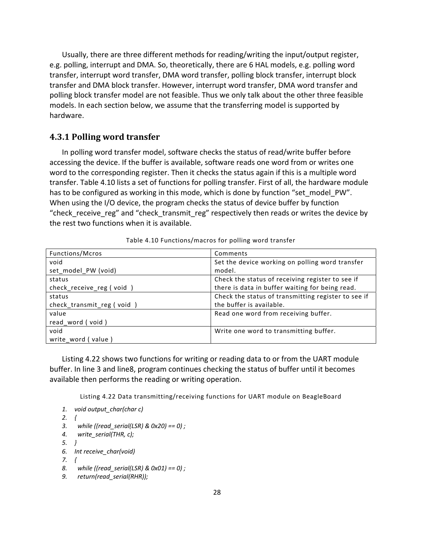Usually, there are three different methods for reading/writing the input/output register, e.g. polling, interrupt and DMA. So, theoretically, there are 6 HAL models, e.g. polling word transfer, interrupt word transfer, DMA word transfer, polling block transfer, interrupt block transfer and DMA block transfer. However, interrupt word transfer, DMA word transfer and polling block transfer model are not feasible. Thus we only talk about the other three feasible models. In each section below, we assume that the transferring model is supported by hardware.

### **4.3.1 Polling word transfer**

In polling word transfer model, software checks the status of read/write buffer before accessing the device. If the buffer is available, software reads one word from or writes one word to the corresponding register. Then it checks the status again if this is a multiple word transfer. Table 4.10 lists a set of functions for polling transfer. First of all, the hardware module has to be configured as working in this mode, which is done by function "set model PW". When using the I/O device, the program checks the status of device buffer by function "check receive reg" and "check transmit reg" respectively then reads or writes the device by the rest two functions when it is available.

| Functions/Mcros           | Comments                                            |
|---------------------------|-----------------------------------------------------|
| void                      | Set the device working on polling word transfer     |
| set model PW (void)       | model.                                              |
| status                    | Check the status of receiving register to see if    |
| check_receive_reg (void)  | there is data in buffer waiting for being read.     |
| status                    | Check the status of transmitting register to see if |
| check transmit reg (void) | the buffer is available.                            |
| value                     | Read one word from receiving buffer.                |
| read word (void)          |                                                     |
| void                      | Write one word to transmitting buffer.              |
| write word (value)        |                                                     |

| Table 4.10 Functions/macros for polling word transfer |  |  |  |  |
|-------------------------------------------------------|--|--|--|--|
|-------------------------------------------------------|--|--|--|--|

Listing 4.22 shows two functions for writing or reading data to or from the UART module buffer. In line 3 and line8, program continues checking the status of buffer until it becomes available then performs the reading or writing operation.

Listing 4.22 Data transmitting/receiving functions for UART module on BeagleBoard

- *1. void output\_char(char c)*
- *2. {*
- *3. while ((read\_serial(LSR) & 0x20) == 0) ;*
- *4. write\_serial(THR, c);*
- *5. }*
- *6. Int receive\_char(void)*
- *7. {*
- *8. while ((read\_serial(LSR) & 0x01) == 0) ;*
- *9. return(read\_serial(RHR));*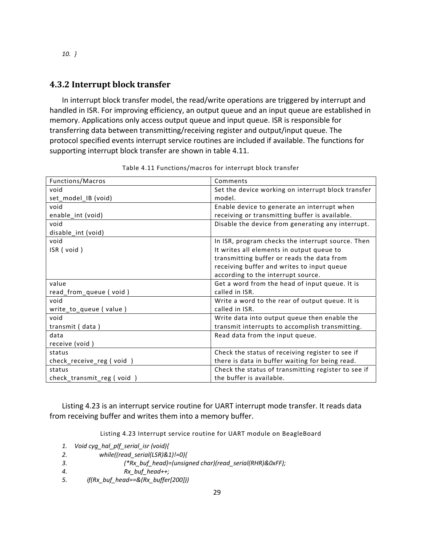#### *10. }*

### **4.3.2 Interrupt block transfer**

In interrupt block transfer model, the read/write operations are triggered by interrupt and handled in ISR. For improving efficiency, an output queue and an input queue are established in memory. Applications only access output queue and input queue. ISR is responsible for transferring data between transmitting/receiving register and output/input queue. The protocol specified events interrupt service routines are included if available. The functions for supporting interrupt block transfer are shown in table 4.11.

| Functions/Macros          | Comments                                            |
|---------------------------|-----------------------------------------------------|
| void                      | Set the device working on interrupt block transfer  |
| set_model_IB (void)       | model.                                              |
| void                      | Enable device to generate an interrupt when         |
| enable_int (void)         | receiving or transmitting buffer is available.      |
| void                      | Disable the device from generating any interrupt.   |
| disable_int (void)        |                                                     |
| void                      | In ISR, program checks the interrupt source. Then   |
| ISR (void)                | It writes all elements in output queue to           |
|                           | transmitting buffer or reads the data from          |
|                           | receiving buffer and writes to input queue          |
|                           | according to the interrupt source.                  |
| value                     | Get a word from the head of input queue. It is      |
| read_from_queue (void)    | called in ISR.                                      |
| void                      | Write a word to the rear of output queue. It is     |
| write_to_queue (value)    | called in ISR.                                      |
| void                      | Write data into output queue then enable the        |
| transmit (data)           | transmit interrupts to accomplish transmitting.     |
| data                      | Read data from the input queue.                     |
| receive (void)            |                                                     |
| status                    | Check the status of receiving register to see if    |
| check_receive_reg (void)  | there is data in buffer waiting for being read.     |
| status                    | Check the status of transmitting register to see if |
| check_transmit_reg (void) | the buffer is available.                            |

Table 4.11 Functions/macros for interrupt block transfer

Listing 4.23 is an interrupt service routine for UART interrupt mode transfer. It reads data from receiving buffer and writes them into a memory buffer.

Listing 4.23 Interrupt service routine for UART module on BeagleBoard

- *1. Void cyg\_hal\_plf\_serial\_isr (void){*
- *2. while((read\_serial(LSR)&1)!=0){*
- *3. (\*Rx\_buf\_head)=(unsigned char)(read\_serial(RHR)&0xFF);*
- 4. *Rx\_buf\_head++;*
- *5. if(Rx\_buf\_head==&(Rx\_buffer[200]))*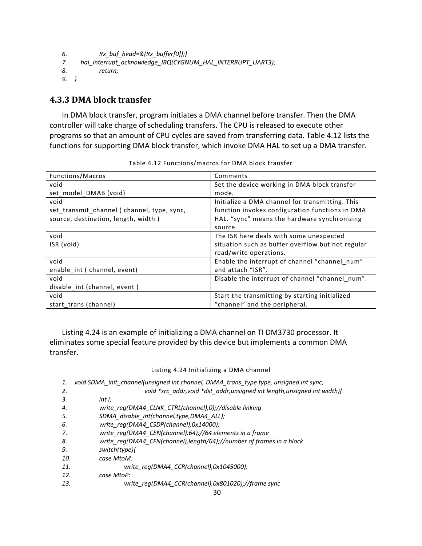```
6.           Rx_buf_head=&(Rx_buffer[0]);}
7.     hal_interrupt_acknowledge_IRQ(CYGNUM_HAL_INTERRUPT_UART3);
8. return;
9. }
```
## **4.3.3 DMA block transfer**

In DMA block transfer, program initiates a DMA channel before transfer. Then the DMA controller will take charge of scheduling transfers. The CPU is released to execute other programs so that an amount of CPU cycles are saved from transferring data. Table 4.12 lists the functions for supporting DMA block transfer, which invoke DMA HAL to set up a DMA transfer.

| Functions/Macros                           | Comments                                          |
|--------------------------------------------|---------------------------------------------------|
| void                                       | Set the device working in DMA block transfer      |
| set_model_DMAB (void)                      | mode.                                             |
| void                                       | Initialize a DMA channel for transmitting. This   |
| set_transmit_channel (channel, type, sync, | function invokes configuration functions in DMA   |
| source, destination, length, width)        | HAL. "sync" means the hardware synchronizing      |
|                                            | source.                                           |
| void                                       | The ISR here deals with some unexpected           |
| ISR (void)                                 | situation such as buffer overflow but not regular |
|                                            | read/write operations.                            |
| void                                       | Enable the interrupt of channel "channel num"     |
| enable int ( channel, event)               | and attach "ISR".                                 |
| void                                       | Disable the interrupt of channel "channel num".   |
| disable_int (channel, event)               |                                                   |
| void                                       | Start the transmitting by starting initialized    |
| start trans (channel)                      | "channel" and the peripheral.                     |

Table 4.12 Functions/macros for DMA block transfer

Listing 4.24 is an example of initializing a DMA channel on TI DM3730 processor. It eliminates some special feature provided by this device but implements a common DMA transfer.

#### Listing 4.24 Initializing a DMA channel

| 1.  | void SDMA init channel(unsigned int channel, DMA4_trans_type type, unsigned int sync, |
|-----|---------------------------------------------------------------------------------------|
| 2.  | void *src_addr, void *dst_addr, unsigned int length, unsigned int width){             |
| 3.  | int i:                                                                                |
| 4.  | write reg(DMA4 CLNK CTRL(channel),0);//disable linking                                |
| 5.  | SDMA_disable_int(channel,type,DMA4_ALL);                                              |
| 6.  | write reg(DMA4 CSDP(channel),0x14000);                                                |
| 7.  | write reg(DMA4 CEN(channel), 64);//64 elements in a frame                             |
| 8.  | write reg(DMA4 CFN(channel), length/64);//number of frames in a block                 |
| 9.  | switch(type){                                                                         |
| 10. | case MtoM:                                                                            |
| 11. | write reg(DMA4 CCR(channel),0x1045000);                                               |
| 12. | case MtoP:                                                                            |
| 13. | write reg(DMA4 CCR(channel),0x801020);//frame sync                                    |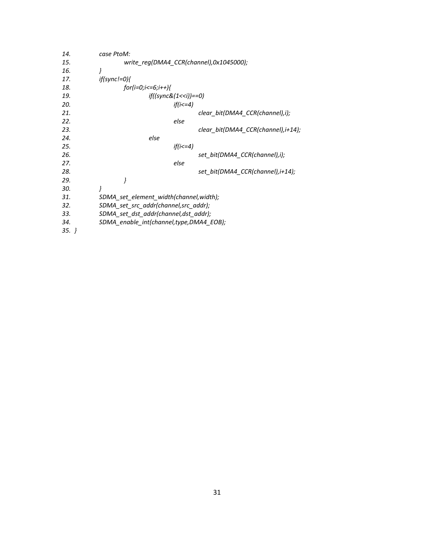| 14.      | case PtoM:                              |
|----------|-----------------------------------------|
| 15.      | write_reg(DMA4_CCR(channel),0x1045000); |
| 16.      | ł                                       |
| 17.      | $if(sync!=0){$                          |
| 18.      | $for (i=0; i<=6; i++)$                  |
| 19.      | $if((sync&(1<$                          |
| 20.      | $if(i < = 4)$                           |
| 21.      | clear_bit(DMA4_CCR(channel),i);         |
| 22.      | else                                    |
| 23.      | clear_bit(DMA4_CCR(channel),i+14);      |
| 24.      | else                                    |
| 25.      | $if (i < = 4)$                          |
| 26.      | set_bit(DMA4_CCR(channel),i);           |
| 27.      | else                                    |
| 28.      | set_bit(DMA4_CCR(channel),i+14);        |
| 29.      | ł                                       |
| 30.      | ł                                       |
| 31.      | SDMA_set_element_width(channel,width);  |
| 32.      | SDMA_set_src_addr(channel,src_addr);    |
| 33.      | SDMA_set_dst_addr(channel,dst_addr);    |
| 34.      | SDMA_enable_int(channel,type,DMA4_EOB); |
| $35. \}$ |                                         |
|          |                                         |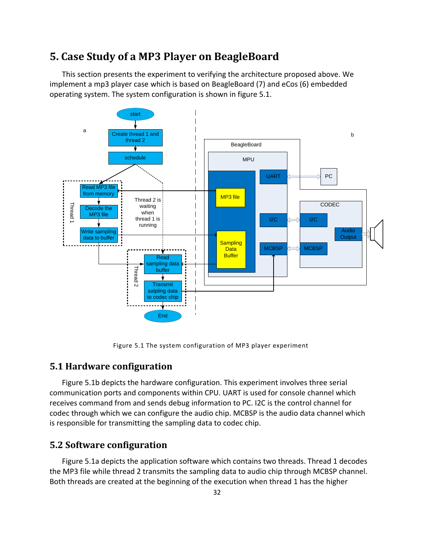# **5. Case Study of a MP3 Player on BeagleBoard**

This section presents the experiment to verifying the architecture proposed above. We implement a mp3 player case which is based on BeagleBoard (7) and eCos (6) embedded operating system. The system configuration is shown in figure 5.1.



Figure 5.1 The system configuration of MP3 player experiment

### **5.1 Hardware configuration**

Figure 5.1b depicts the hardware configuration. This experiment involves three serial communication ports and components within CPU. UART is used for console channel which receives command from and sends debug information to PC. I2C is the control channel for codec through which we can configure the audio chip. MCBSP is the audio data channel which is responsible for transmitting the sampling data to codec chip.

# **5.2 Software configuration**

Figure 5.1a depicts the application software which contains two threads. Thread 1 decodes the MP3 file while thread 2 transmits the sampling data to audio chip through MCBSP channel. Both threads are created at the beginning of the execution when thread 1 has the higher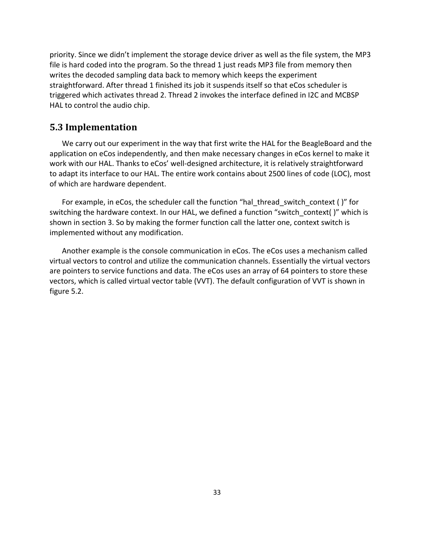priority. Since we didn't implement the storage device driver as well as the file system, the MP3 file is hard coded into the program. So the thread 1 just reads MP3 file from memory then writes the decoded sampling data back to memory which keeps the experiment straightforward. After thread 1 finished its job it suspends itself so that eCos scheduler is triggered which activates thread 2. Thread 2 invokes the interface defined in I2C and MCBSP HAL to control the audio chip.

### **5.3 Implementation**

We carry out our experiment in the way that first write the HAL for the BeagleBoard and the application on eCos independently, and then make necessary changes in eCos kernel to make it work with our HAL. Thanks to eCos' well-designed architecture, it is relatively straightforward to adapt its interface to our HAL. The entire work contains about 2500 lines of code (LOC), most of which are hardware dependent.

For example, in eCos, the scheduler call the function "hal thread switch context ()" for switching the hardware context. In our HAL, we defined a function "switch context()" which is shown in section 3. So by making the former function call the latter one, context switch is implemented without any modification.

Another example is the console communication in eCos. The eCos uses a mechanism called virtual vectors to control and utilize the communication channels. Essentially the virtual vectors are pointers to service functions and data. The eCos uses an array of 64 pointers to store these vectors, which is called virtual vector table (VVT). The default configuration of VVT is shown in figure 5.2.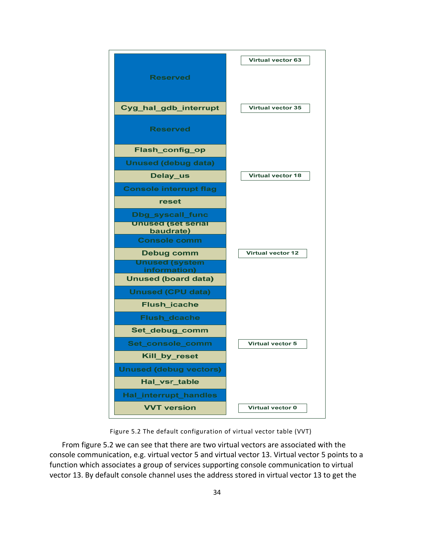

Figure 5.2 The default configuration of virtual vector table (VVT)

From figure 5.2 we can see that there are two virtual vectors are associated with the console communication, e.g. virtual vector 5 and virtual vector 13. Virtual vector 5 points to a function which associates a group of services supporting console communication to virtual vector 13. By default console channel uses the address stored in virtual vector 13 to get the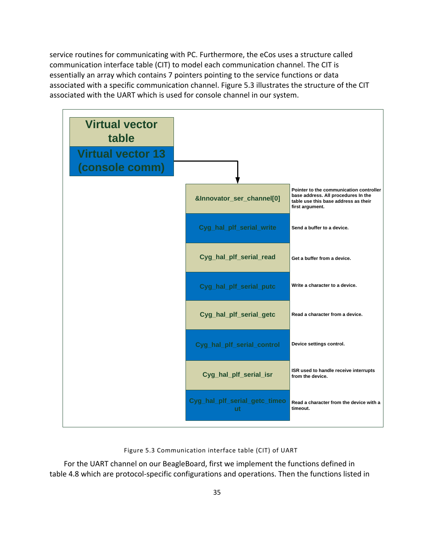service routines for communicating with PC. Furthermore, the eCos uses a structure called communication interface table (CIT) to model each communication channel. The CIT is essentially an array which contains 7 pointers pointing to the service functions or data associated with a specific communication channel. Figure 5.3 illustrates the structure of the CIT associated with the UART which is used for console channel in our system.



Figure 5.3 Communication interface table (CIT) of UART

For the UART channel on our BeagleBoard, first we implement the functions defined in table 4.8 which are protocol‐specific configurations and operations. Then the functions listed in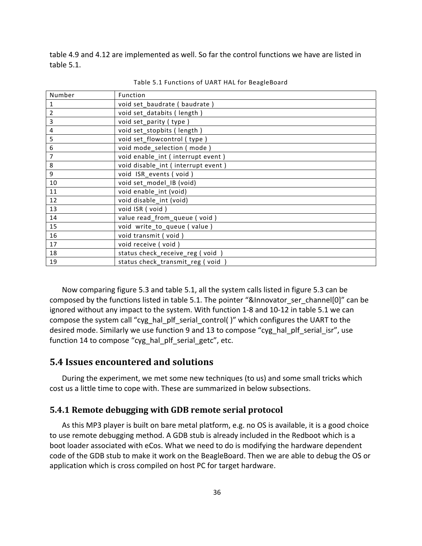table 4.9 and 4.12 are implemented as well. So far the control functions we have are listed in table 5.1.

| Number         | Function                           |
|----------------|------------------------------------|
| 1              | void set_baudrate (baudrate)       |
| $\overline{2}$ | void set_databits (length)         |
| $\overline{3}$ | void set_parity (type)             |
| 4              | void set stopbits (length)         |
| 5              | void set_flowcontrol (type)        |
| 6              | void mode selection (mode)         |
| 7              | void enable_int (interrupt event)  |
| 8              | void disable_int (interrupt event) |
| 9              | void ISR_events (void)             |
| 10             | void set_model_IB (void)           |
| 11             | void enable int (void)             |
| 12             | void disable int (void)            |
| 13             | void ISR (void)                    |
| 14             | value read_from_queue (void)       |
| 15             | void write_to_queue (value)        |
| 16             | void transmit (void)               |
| 17             | void receive (void)                |
| 18             | status check_receive_reg (void)    |
| 19             | status check transmit reg (void)   |

Table 5.1 Functions of UART HAL for BeagleBoard

Now comparing figure 5.3 and table 5.1, all the system calls listed in figure 5.3 can be composed by the functions listed in table 5.1. The pointer "&Innovator ser channel[0]" can be ignored without any impact to the system. With function 1‐8 and 10‐12 in table 5.1 we can compose the system call "cyg\_hal\_plf\_serial\_control( )" which configures the UART to the desired mode. Similarly we use function 9 and 13 to compose "cyg\_hal\_plf\_serial\_isr", use function 14 to compose "cyg\_hal\_plf\_serial\_getc", etc.

## **5.4 Issues encountered and solutions**

During the experiment, we met some new techniques (to us) and some small tricks which cost us a little time to cope with. These are summarized in below subsections.

### **5.4.1 Remote debugging with GDB remote serial protocol**

As this MP3 player is built on bare metal platform, e.g. no OS is available, it is a good choice to use remote debugging method. A GDB stub is already included in the Redboot which is a boot loader associated with eCos. What we need to do is modifying the hardware dependent code of the GDB stub to make it work on the BeagleBoard. Then we are able to debug the OS or application which is cross compiled on host PC for target hardware.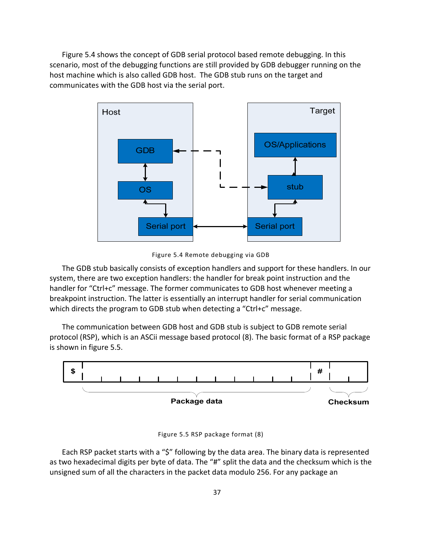Figure 5.4 shows the concept of GDB serial protocol based remote debugging. In this scenario, most of the debugging functions are still provided by GDB debugger running on the host machine which is also called GDB host. The GDB stub runs on the target and communicates with the GDB host via the serial port.



Figure 5.4 Remote debugging via GDB

The GDB stub basically consists of exception handlers and support for these handlers. In our system, there are two exception handlers: the handler for break point instruction and the handler for "Ctrl+c" message. The former communicates to GDB host whenever meeting a breakpoint instruction. The latter is essentially an interrupt handler for serial communication which directs the program to GDB stub when detecting a "Ctrl+c" message.

The communication between GDB host and GDB stub is subject to GDB remote serial protocol (RSP), which is an ASCii message based protocol (8). The basic format of a RSP package is shown in figure 5.5.



| Figure 5.5 RSP package format (8) |  |  |  |
|-----------------------------------|--|--|--|
|-----------------------------------|--|--|--|

Each RSP packet starts with a "\$" following by the data area. The binary data is represented as two hexadecimal digits per byte of data. The "#" split the data and the checksum which is the unsigned sum of all the characters in the packet data modulo 256. For any package an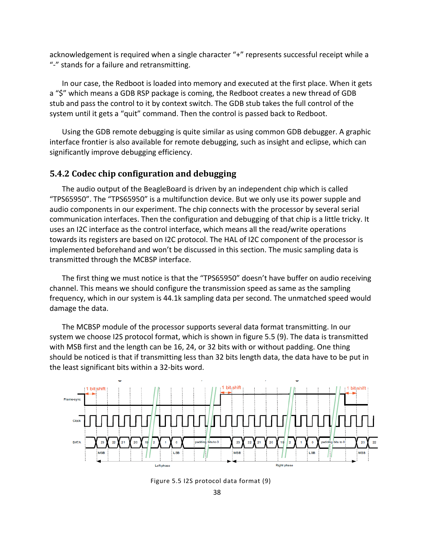acknowledgement is required when a single character "+" represents successful receipt while a "‐" stands for a failure and retransmitting.

In our case, the Redboot is loaded into memory and executed at the first place. When it gets a "\$" which means a GDB RSP package is coming, the Redboot creates a new thread of GDB stub and pass the control to it by context switch. The GDB stub takes the full control of the system until it gets a "quit" command. Then the control is passed back to Redboot.

Using the GDB remote debugging is quite similar as using common GDB debugger. A graphic interface frontier is also available for remote debugging, such as insight and eclipse, which can significantly improve debugging efficiency.

## **5.4.2 Codec chip configuration and debugging**

The audio output of the BeagleBoard is driven by an independent chip which is called "TPS65950". The "TPS65950" is a multifunction device. But we only use its power supple and audio components in our experiment. The chip connects with the processor by several serial communication interfaces. Then the configuration and debugging of that chip is a little tricky. It uses an I2C interface as the control interface, which means all the read/write operations towards its registers are based on I2C protocol. The HAL of I2C component of the processor is implemented beforehand and won't be discussed in this section. The music sampling data is transmitted through the MCBSP interface.

The first thing we must notice is that the "TPS65950" doesn't have buffer on audio receiving channel. This means we should configure the transmission speed as same as the sampling frequency, which in our system is 44.1k sampling data per second. The unmatched speed would damage the data.

The MCBSP module of the processor supports several data format transmitting. In our system we choose I2S protocol format, which is shown in figure 5.5 (9). The data is transmitted with MSB first and the length can be 16, 24, or 32 bits with or without padding. One thing should be noticed is that if transmitting less than 32 bits length data, the data have to be put in the least significant bits within a 32‐bits word.



Figure 5.5 I2S protocol data format (9)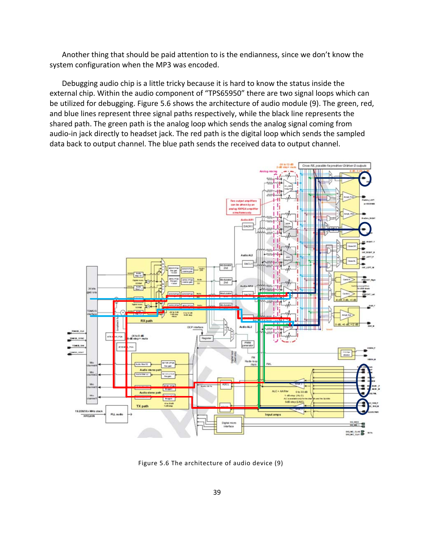Another thing that should be paid attention to is the endianness, since we don't know the system configuration when the MP3 was encoded.

Debugging audio chip is a little tricky because it is hard to know the status inside the external chip. Within the audio component of "TPS65950" there are two signal loops which can be utilized for debugging. Figure 5.6 shows the architecture of audio module (9). The green, red, and blue lines represent three signal paths respectively, while the black line represents the shared path. The green path is the analog loop which sends the analog signal coming from audio‐in jack directly to headset jack. The red path is the digital loop which sends the sampled data back to output channel. The blue path sends the received data to output channel.



Figure 5.6 The architecture of audio device (9)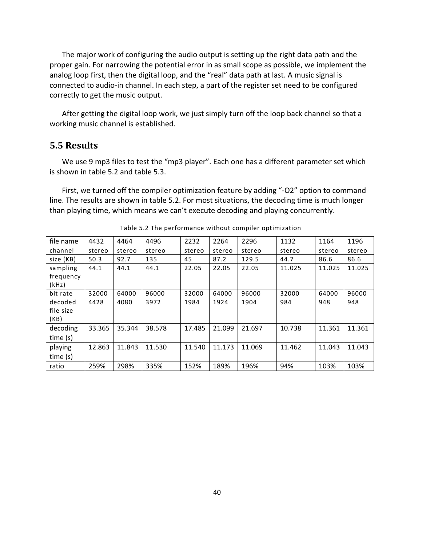The major work of configuring the audio output is setting up the right data path and the proper gain. For narrowing the potential error in as small scope as possible, we implement the analog loop first, then the digital loop, and the "real" data path at last. A music signal is connected to audio‐in channel. In each step, a part of the register set need to be configured correctly to get the music output.

After getting the digital loop work, we just simply turn off the loop back channel so that a working music channel is established.

## **5.5 Results**

We use 9 mp3 files to test the "mp3 player". Each one has a different parameter set which is shown in table 5.2 and table 5.3.

First, we turned off the compiler optimization feature by adding "-O2" option to command line. The results are shown in table 5.2. For most situations, the decoding time is much longer than playing time, which means we can't execute decoding and playing concurrently.

| file name  | 4432   | 4464   | 4496   | 2232   | 2264   | 2296   | 1132   | 1164   | 1196   |
|------------|--------|--------|--------|--------|--------|--------|--------|--------|--------|
| channel    | stereo | stereo | stereo | stereo | stereo | stereo | stereo | stereo | stereo |
| size (KB)  | 50.3   | 92.7   | 135    | 45     | 87.2   | 129.5  | 44.7   | 86.6   | 86.6   |
| sampling   | 44.1   | 44.1   | 44.1   | 22.05  | 22.05  | 22.05  | 11.025 | 11.025 | 11.025 |
| frequency  |        |        |        |        |        |        |        |        |        |
| (kHz)      |        |        |        |        |        |        |        |        |        |
| bit rate   | 32000  | 64000  | 96000  | 32000  | 64000  | 96000  | 32000  | 64000  | 96000  |
| decoded    | 4428   | 4080   | 3972   | 1984   | 1924   | 1904   | 984    | 948    | 948    |
| file size  |        |        |        |        |        |        |        |        |        |
| (KB)       |        |        |        |        |        |        |        |        |        |
| decoding   | 33.365 | 35.344 | 38.578 | 17.485 | 21.099 | 21.697 | 10.738 | 11.361 | 11.361 |
| time (s)   |        |        |        |        |        |        |        |        |        |
| playing    | 12.863 | 11.843 | 11.530 | 11.540 | 11.173 | 11.069 | 11.462 | 11.043 | 11.043 |
| time $(s)$ |        |        |        |        |        |        |        |        |        |
| ratio      | 259%   | 298%   | 335%   | 152%   | 189%   | 196%   | 94%    | 103%   | 103%   |

Table 5.2 The performance without compiler optimization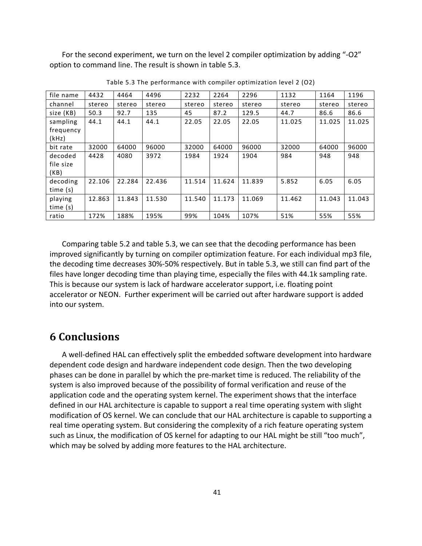For the second experiment, we turn on the level 2 compiler optimization by adding "‐O2" option to command line. The result is shown in table 5.3.

| file name  | 4432   | 4464   | 4496   | 2232   | 2264   | 2296   | 1132   | 1164   | 1196   |
|------------|--------|--------|--------|--------|--------|--------|--------|--------|--------|
| channel    | stereo | stereo | stereo | stereo | stereo | stereo | stereo | stereo | stereo |
| size (KB)  | 50.3   | 92.7   | 135    | 45     | 87.2   | 129.5  | 44.7   | 86.6   | 86.6   |
| sampling   | 44.1   | 44.1   | 44.1   | 22.05  | 22.05  | 22.05  | 11.025 | 11.025 | 11.025 |
| frequency  |        |        |        |        |        |        |        |        |        |
| (kHz)      |        |        |        |        |        |        |        |        |        |
| bit rate   | 32000  | 64000  | 96000  | 32000  | 64000  | 96000  | 32000  | 64000  | 96000  |
| decoded    | 4428   | 4080   | 3972   | 1984   | 1924   | 1904   | 984    | 948    | 948    |
| file size  |        |        |        |        |        |        |        |        |        |
| (KB)       |        |        |        |        |        |        |        |        |        |
| decoding   | 22.106 | 22.284 | 22.436 | 11.514 | 11.624 | 11.839 | 5.852  | 6.05   | 6.05   |
| time $(s)$ |        |        |        |        |        |        |        |        |        |
| playing    | 12.863 | 11.843 | 11.530 | 11.540 | 11.173 | 11.069 | 11.462 | 11.043 | 11.043 |
| time $(s)$ |        |        |        |        |        |        |        |        |        |
| ratio      | 172%   | 188%   | 195%   | 99%    | 104%   | 107%   | 51%    | 55%    | 55%    |

Table 5.3 The performance with compiler optimization level 2 (O2)

Comparing table 5.2 and table 5.3, we can see that the decoding performance has been improved significantly by turning on compiler optimization feature. For each individual mp3 file, the decoding time decreases 30%‐50% respectively. But in table 5.3, we still can find part of the files have longer decoding time than playing time, especially the files with 44.1k sampling rate. This is because our system is lack of hardware accelerator support, i.e. floating point accelerator or NEON. Further experiment will be carried out after hardware support is added into our system.

# **6 Conclusions**

A well‐defined HAL can effectively split the embedded software development into hardware dependent code design and hardware independent code design. Then the two developing phases can be done in parallel by which the pre‐market time is reduced. The reliability of the system is also improved because of the possibility of formal verification and reuse of the application code and the operating system kernel. The experiment shows that the interface defined in our HAL architecture is capable to support a real time operating system with slight modification of OS kernel. We can conclude that our HAL architecture is capable to supporting a real time operating system. But considering the complexity of a rich feature operating system such as Linux, the modification of OS kernel for adapting to our HAL might be still "too much", which may be solved by adding more features to the HAL architecture.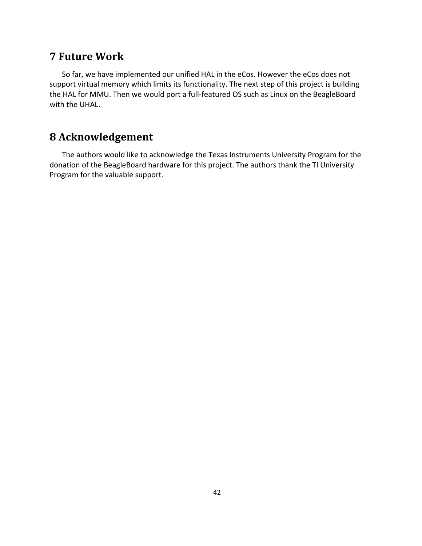# **7 Future Work**

So far, we have implemented our unified HAL in the eCos. However the eCos does not support virtual memory which limits its functionality. The next step of this project is building the HAL for MMU. Then we would port a full‐featured OS such as Linux on the BeagleBoard with the UHAL.

# **8 Acknowledgement**

The authors would like to acknowledge the Texas Instruments University Program for the donation of the BeagleBoard hardware for this project. The authors thank the TI University Program for the valuable support.